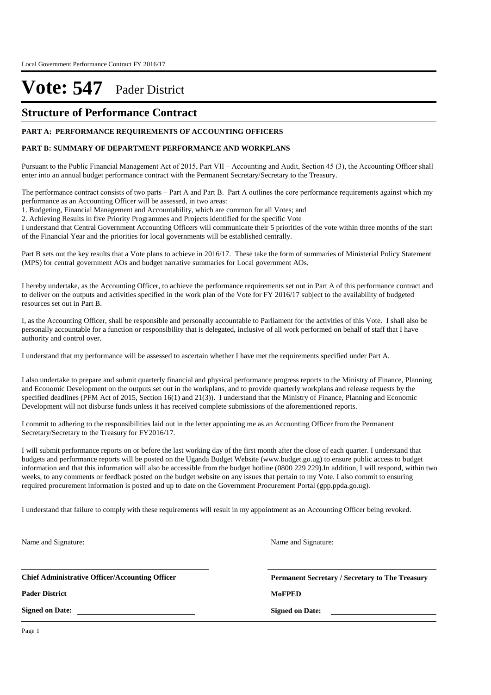### **Structure of Performance Contract**

#### **PART A: PERFORMANCE REQUIREMENTS OF ACCOUNTING OFFICERS**

#### **PART B: SUMMARY OF DEPARTMENT PERFORMANCE AND WORKPLANS**

Pursuant to the Public Financial Management Act of 2015, Part VII – Accounting and Audit, Section 45 (3), the Accounting Officer shall enter into an annual budget performance contract with the Permanent Secretary/Secretary to the Treasury.

The performance contract consists of two parts – Part A and Part B. Part A outlines the core performance requirements against which my performance as an Accounting Officer will be assessed, in two areas:

1. Budgeting, Financial Management and Accountability, which are common for all Votes; and

2. Achieving Results in five Priority Programmes and Projects identified for the specific Vote

I understand that Central Government Accounting Officers will communicate their 5 priorities of the vote within three months of the start of the Financial Year and the priorities for local governments will be established centrally.

Part B sets out the key results that a Vote plans to achieve in 2016/17. These take the form of summaries of Ministerial Policy Statement (MPS) for central government AOs and budget narrative summaries for Local government AOs.

I hereby undertake, as the Accounting Officer, to achieve the performance requirements set out in Part A of this performance contract and to deliver on the outputs and activities specified in the work plan of the Vote for FY 2016/17 subject to the availability of budgeted resources set out in Part B.

I, as the Accounting Officer, shall be responsible and personally accountable to Parliament for the activities of this Vote. I shall also be personally accountable for a function or responsibility that is delegated, inclusive of all work performed on behalf of staff that I have authority and control over.

I understand that my performance will be assessed to ascertain whether I have met the requirements specified under Part A.

I also undertake to prepare and submit quarterly financial and physical performance progress reports to the Ministry of Finance, Planning and Economic Development on the outputs set out in the workplans, and to provide quarterly workplans and release requests by the specified deadlines (PFM Act of 2015, Section 16(1) and 21(3)). I understand that the Ministry of Finance, Planning and Economic Development will not disburse funds unless it has received complete submissions of the aforementioned reports.

I commit to adhering to the responsibilities laid out in the letter appointing me as an Accounting Officer from the Permanent Secretary/Secretary to the Treasury for FY2016/17.

I will submit performance reports on or before the last working day of the first month after the close of each quarter. I understand that budgets and performance reports will be posted on the Uganda Budget Website (www.budget.go.ug) to ensure public access to budget information and that this information will also be accessible from the budget hotline (0800 229 229).In addition, I will respond, within two weeks, to any comments or feedback posted on the budget website on any issues that pertain to my Vote. I also commit to ensuring required procurement information is posted and up to date on the Government Procurement Portal (gpp.ppda.go.ug).

I understand that failure to comply with these requirements will result in my appointment as an Accounting Officer being revoked.

Name and Signature:

Name and Signature:

**Chief Administrative Officer/Accounting Officer**

**Pader District MoFPED**

**Signed on Date:**

**Permanent Secretary / Secretary to The Treasury**

**Signed on Date:**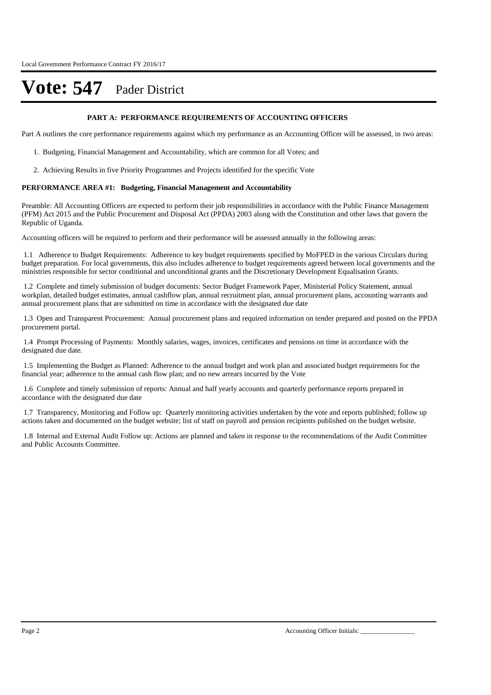#### **PART A: PERFORMANCE REQUIREMENTS OF ACCOUNTING OFFICERS**

Part A outlines the core performance requirements against which my performance as an Accounting Officer will be assessed, in two areas:

- 1. Budgeting, Financial Management and Accountability, which are common for all Votes; and
- 2. Achieving Results in five Priority Programmes and Projects identified for the specific Vote

#### **PERFORMANCE AREA #1: Budgeting, Financial Management and Accountability**

Preamble: All Accounting Officers are expected to perform their job responsibilities in accordance with the Public Finance Management (PFM) Act 2015 and the Public Procurement and Disposal Act (PPDA) 2003 along with the Constitution and other laws that govern the Republic of Uganda.

Accounting officers will be required to perform and their performance will be assessed annually in the following areas:

1.1 Adherence to Budget Requirements: Adherence to key budget requirements specified by MoFPED in the various Circulars during budget preparation. For local governments, this also includes adherence to budget requirements agreed between local governments and the ministries responsible for sector conditional and unconditional grants and the Discretionary Development Equalisation Grants.

1.2 Complete and timely submission of budget documents: Sector Budget Framework Paper, Ministerial Policy Statement, annual workplan, detailed budget estimates, annual cashflow plan, annual recruitment plan, annual procurement plans, accounting warrants and annual procurement plans that are submitted on time in accordance with the designated due date

1.3 Open and Transparent Procurement: Annual procurement plans and required information on tender prepared and posted on the PPDA procurement portal.

1.4 Prompt Processing of Payments: Monthly salaries, wages, invoices, certificates and pensions on time in accordance with the designated due date.

1.5 Implementing the Budget as Planned: Adherence to the annual budget and work plan and associated budget requirements for the financial year; adherence to the annual cash flow plan; and no new arrears incurred by the Vote

1.6 Complete and timely submission of reports: Annual and half yearly accounts and quarterly performance reports prepared in accordance with the designated due date

1.7 Transparency, Monitoring and Follow up: Quarterly monitoring activities undertaken by the vote and reports published; follow up actions taken and documented on the budget website; list of staff on payroll and pension recipients published on the budget website.

1.8 Internal and External Audit Follow up: Actions are planned and taken in response to the recommendations of the Audit Committee and Public Accounts Committee.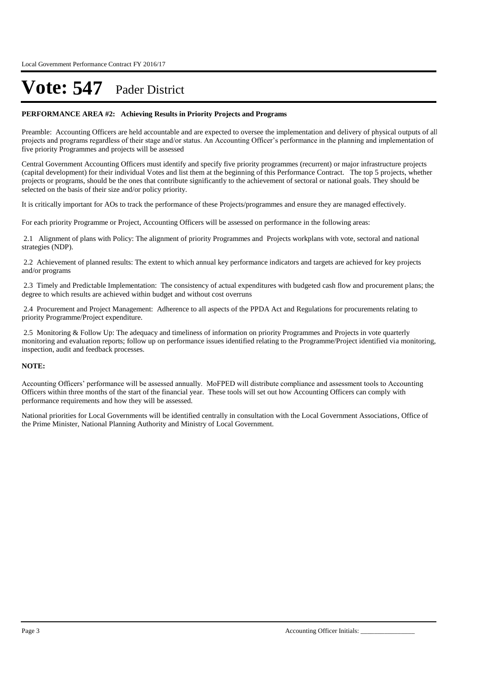#### **PERFORMANCE AREA #2: Achieving Results in Priority Projects and Programs**

Preamble: Accounting Officers are held accountable and are expected to oversee the implementation and delivery of physical outputs of all projects and programs regardless of their stage and/or status. An Accounting Officer's performance in the planning and implementation of five priority Programmes and projects will be assessed

Central Government Accounting Officers must identify and specify five priority programmes (recurrent) or major infrastructure projects (capital development) for their individual Votes and list them at the beginning of this Performance Contract. The top 5 projects, whether projects or programs, should be the ones that contribute significantly to the achievement of sectoral or national goals. They should be selected on the basis of their size and/or policy priority.

It is critically important for AOs to track the performance of these Projects/programmes and ensure they are managed effectively.

For each priority Programme or Project, Accounting Officers will be assessed on performance in the following areas:

2.1 Alignment of plans with Policy: The alignment of priority Programmes and Projects workplans with vote, sectoral and national strategies (NDP).

2.2 Achievement of planned results: The extent to which annual key performance indicators and targets are achieved for key projects and/or programs

2.3 Timely and Predictable Implementation: The consistency of actual expenditures with budgeted cash flow and procurement plans; the degree to which results are achieved within budget and without cost overruns

2.4 Procurement and Project Management: Adherence to all aspects of the PPDA Act and Regulations for procurements relating to priority Programme/Project expenditure.

2.5 Monitoring & Follow Up: The adequacy and timeliness of information on priority Programmes and Projects in vote quarterly monitoring and evaluation reports; follow up on performance issues identified relating to the Programme/Project identified via monitoring, inspection, audit and feedback processes.

#### **NOTE:**

Accounting Officers' performance will be assessed annually. MoFPED will distribute compliance and assessment tools to Accounting Officers within three months of the start of the financial year. These tools will set out how Accounting Officers can comply with performance requirements and how they will be assessed.

National priorities for Local Governments will be identified centrally in consultation with the Local Government Associations, Office of the Prime Minister, National Planning Authority and Ministry of Local Government.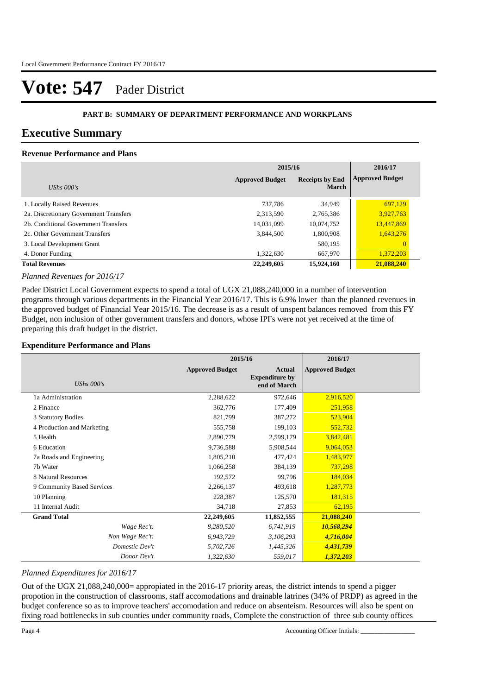### **PART B: SUMMARY OF DEPARTMENT PERFORMANCE AND WORKPLANS**

### **Executive Summary**

### **Revenue Performance and Plans**

|                                        | 2015/16                | 2016/17                                |                        |
|----------------------------------------|------------------------|----------------------------------------|------------------------|
| UShs $000's$                           | <b>Approved Budget</b> | <b>Receipts by End</b><br><b>March</b> | <b>Approved Budget</b> |
| 1. Locally Raised Revenues             | 737.786                | 34,949                                 | 697,129                |
| 2a. Discretionary Government Transfers | 2,313,590              | 2,765,386                              | 3,927,763              |
| 2b. Conditional Government Transfers   | 14,031,099             | 10,074,752                             | 13,447,869             |
| 2c. Other Government Transfers         | 3,844,500              | 1,800,908                              | 1,643,276              |
| 3. Local Development Grant             |                        | 580,195                                | $\overline{0}$         |
| 4. Donor Funding                       | 1,322,630              | 667,970                                | 1,372,203              |
| <b>Total Revenues</b>                  | 22,249,605             | 15,924,160                             | 21,088,240             |

#### *Planned Revenues for 2016/17*

Pader District Local Government expects to spend a total of UGX 21,088,240,000 in a number of intervention programs through various departments in the Financial Year 2016/17. This is 6.9% lower than the planned revenues in the approved budget of Financial Year 2015/16. The decrease is as a result of unspent balances removed from this FY Budget, non inclusion of other government transfers and donors, whose IPFs were not yet received at the time of preparing this draft budget in the district.

#### **Expenditure Performance and Plans**

|                            | 2015/16                |                                                        | 2016/17                |  |
|----------------------------|------------------------|--------------------------------------------------------|------------------------|--|
| UShs $000's$               | <b>Approved Budget</b> | <b>Actual</b><br><b>Expenditure by</b><br>end of March | <b>Approved Budget</b> |  |
| 1a Administration          | 2,288,622              | 972,646                                                | 2,916,520              |  |
| 2 Finance                  | 362,776                | 177,409                                                | 251,958                |  |
| 3 Statutory Bodies         | 821,799                | 387,272                                                | 523,904                |  |
| 4 Production and Marketing | 555,758                | 199,103                                                | 552,732                |  |
| 5 Health                   | 2,890,779              | 2,599,179                                              | 3,842,481              |  |
| 6 Education                | 9,736,588              | 5,908,544                                              | 9,064,053              |  |
| 7a Roads and Engineering   | 1,805,210              | 477,424                                                | 1,483,977              |  |
| 7b Water                   | 1,066,258              | 384,139                                                | 737,298                |  |
| 8 Natural Resources        | 192,572                | 99,796                                                 | 184,034                |  |
| 9 Community Based Services | 2,266,137              | 493,618                                                | 1,287,773              |  |
| 10 Planning                | 228,387                | 125,570                                                | 181,315                |  |
| 11 Internal Audit          | 34,718                 | 27,853                                                 | 62,195                 |  |
| <b>Grand Total</b>         | 22,249,605             | 11,852,555                                             | 21,088,240             |  |
| Wage Rec't:                | 8,280,520              | 6,741,919                                              | 10,568,294             |  |
| Non Wage Rec't:            | 6,943,729              | 3,106,293                                              | 4,716,004              |  |
| Domestic Dev't             | 5,702,726              | 1,445,326                                              | 4,431,739              |  |
| Donor Dev't                | 1,322,630              | 559,017                                                | 1,372,203              |  |

#### *Planned Expenditures for 2016/17*

Out of the UGX 21,088,240,000= appropiated in the 2016-17 priority areas, the district intends to spend a pigger propotion in the construction of classrooms, staff accomodations and drainable latrines (34% of PRDP) as agreed in the budget conference so as to improve teachers' accomodation and reduce on absenteism. Resources will also be spent on fixing road bottlenecks in sub counties under community roads, Complete the construction of three sub county offices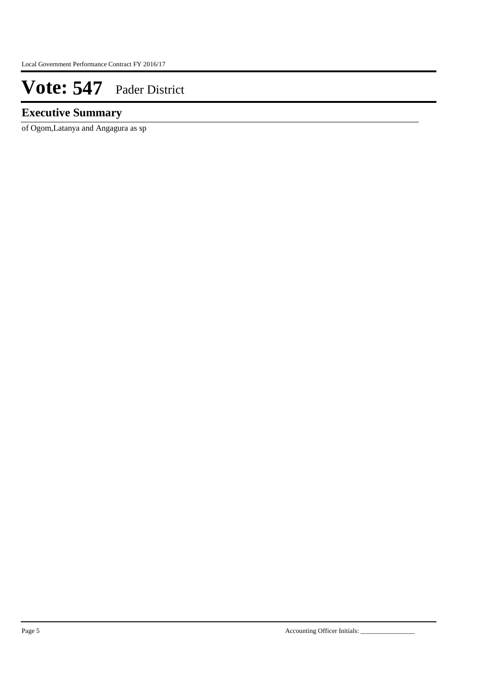### **Executive Summary**

of Ogom,Latanya and Angagura as sp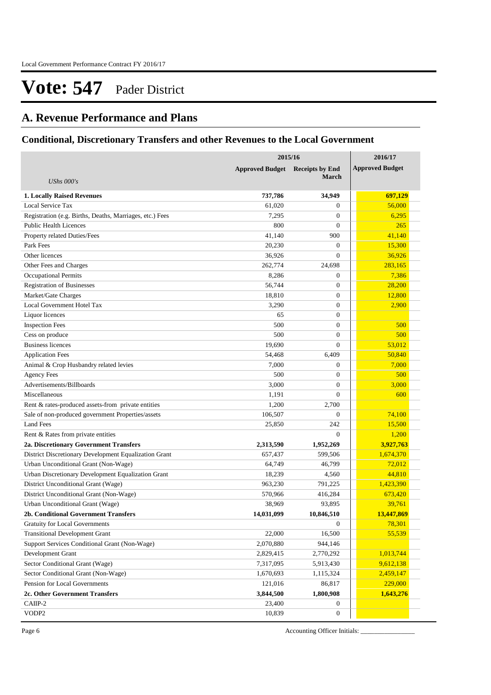## **A. Revenue Performance and Plans**

### **Conditional, Discretionary Transfers and other Revenues to the Local Government**

|                                                          | 2015/16                                          | 2016/17          |                        |
|----------------------------------------------------------|--------------------------------------------------|------------------|------------------------|
|                                                          | <b>Approved Budget</b><br><b>Receipts by End</b> |                  | <b>Approved Budget</b> |
| UShs $000's$                                             |                                                  | <b>March</b>     |                        |
|                                                          |                                                  |                  |                        |
| <b>1. Locally Raised Revenues</b>                        | 737,786                                          | 34,949           | 697,129                |
| Local Service Tax                                        | 61,020                                           | $\overline{0}$   | 56,000                 |
| Registration (e.g. Births, Deaths, Marriages, etc.) Fees | 7,295                                            | $\mathbf{0}$     | 6,295                  |
| <b>Public Health Licences</b>                            | 800                                              | $\overline{0}$   | 265                    |
| Property related Duties/Fees                             | 41,140                                           | 900              | 41,140                 |
| Park Fees                                                | 20,230                                           | $\overline{0}$   | 15,300                 |
| Other licences                                           | 36,926                                           | $\overline{0}$   | 36,926                 |
| Other Fees and Charges                                   | 262,774                                          | 24,698           | 283,165                |
| <b>Occupational Permits</b>                              | 8,286                                            | $\theta$         | 7,386                  |
| <b>Registration of Businesses</b>                        | 56,744                                           | $\mathbf{0}$     | 28,200                 |
| Market/Gate Charges                                      | 18,810                                           | $\mathbf{0}$     | 12,800                 |
| Local Government Hotel Tax                               | 3,290                                            | $\mathbf{0}$     | 2,900                  |
| Liquor licences                                          | 65                                               | $\mathbf{0}$     |                        |
| <b>Inspection Fees</b>                                   | 500                                              | $\mathbf{0}$     | 500                    |
| Cess on produce                                          | 500                                              | $\mathbf{0}$     | 500                    |
| <b>Business licences</b>                                 | 19,690                                           | $\mathbf{0}$     | 53.012                 |
| <b>Application Fees</b>                                  | 54,468                                           | 6,409            | 50,840                 |
| Animal & Crop Husbandry related levies                   | 7,000                                            | $\overline{0}$   | 7,000                  |
| <b>Agency Fees</b>                                       | 500                                              | $\mathbf{0}$     | 500                    |
| Advertisements/Billboards                                | 3,000                                            | $\mathbf{0}$     | 3,000                  |
| Miscellaneous                                            | 1,191                                            | $\overline{0}$   | 600                    |
| Rent & rates-produced assets-from private entities       | 1,200                                            | 2,700            |                        |
| Sale of non-produced government Properties/assets        | 106,507                                          | $\mathbf{0}$     | 74,100                 |
| <b>Land Fees</b>                                         | 25,850                                           | 242              | 15,500                 |
| Rent & Rates from private entities                       |                                                  | $\mathbf{0}$     | 1,200                  |
| 2a. Discretionary Government Transfers                   | 2,313,590                                        | 1,952,269        | 3,927,763              |
| District Discretionary Development Equalization Grant    | 657,437                                          | 599,506          | 1,674,370              |
| Urban Unconditional Grant (Non-Wage)                     | 64,749                                           | 46,799           | 72,012                 |
| Urban Discretionary Development Equalization Grant       | 18,239                                           | 4,560            | 44,810                 |
| District Unconditional Grant (Wage)                      | 963,230                                          | 791,225          | 1,423,390              |
| District Unconditional Grant (Non-Wage)                  | 570,966                                          | 416,284          | 673,420                |
| Urban Unconditional Grant (Wage)                         | 38,969                                           | 93,895           | 39,761                 |
| 2b. Conditional Government Transfers                     | 14,031,099                                       | 10,846,510       | 13,447,869             |
| <b>Gratuity for Local Governments</b>                    |                                                  | $\mathbf{0}$     | 78,301                 |
| <b>Transitional Development Grant</b>                    | 22,000                                           | 16,500           | 55,539                 |
| Support Services Conditional Grant (Non-Wage)            | 2,070,880                                        | 944,146          |                        |
| Development Grant                                        | 2,829,415                                        | 2,770,292        | 1,013,744              |
| Sector Conditional Grant (Wage)                          | 7,317,095                                        | 5,913,430        | 9,612,138              |
| Sector Conditional Grant (Non-Wage)                      | 1,670,693                                        | 1,115,324        | 2,459,147              |
| Pension for Local Governments                            | 121,016                                          | 86,817           | 229,000                |
| 2c. Other Government Transfers                           | 3,844,500                                        | 1,800,908        | 1,643,276              |
| CAIIP-2                                                  | 23,400                                           | $\boldsymbol{0}$ |                        |
| VODP2                                                    | 10,839                                           | $\boldsymbol{0}$ |                        |

Page 6 Accounting Officer Initials: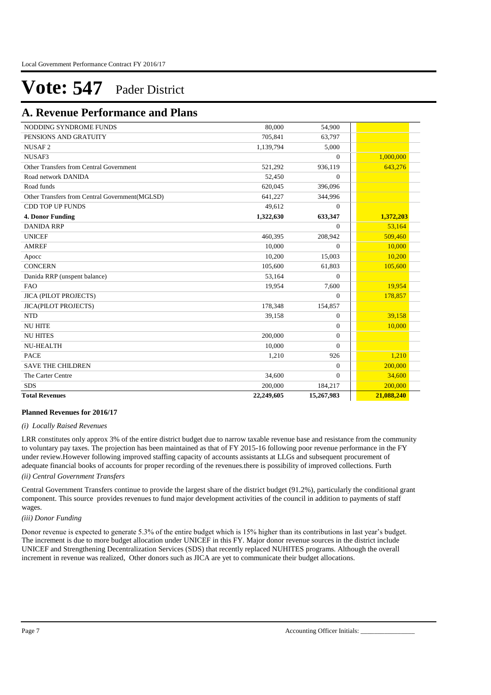### **A. Revenue Performance and Plans**

| NODDING SYNDROME FUNDS                         | 80,000     | 54,900         |            |
|------------------------------------------------|------------|----------------|------------|
| PENSIONS AND GRATUITY                          | 705,841    | 63,797         |            |
| NUSAF <sub>2</sub>                             | 1,139,794  | 5,000          |            |
| NUSAF3                                         |            | $\overline{0}$ | 1,000,000  |
| Other Transfers from Central Government        | 521,292    | 936,119        | 643,276    |
| Road network DANIDA                            | 52,450     | $\Omega$       |            |
| Road funds                                     | 620,045    | 396,096        |            |
| Other Transfers from Central Government(MGLSD) | 641,227    | 344,996        |            |
| <b>CDD TOP UP FUNDS</b>                        | 49,612     | $\Omega$       |            |
| 4. Donor Funding                               | 1,322,630  | 633,347        | 1,372,203  |
| <b>DANIDA RRP</b>                              |            | $\Omega$       | 53,164     |
| <b>UNICEF</b>                                  | 460,395    | 208,942        | 509,460    |
| <b>AMREF</b>                                   | 10,000     | $\overline{0}$ | 10,000     |
| Apocc                                          | 10.200     | 15,003         | 10,200     |
| <b>CONCERN</b>                                 | 105,600    | 61,803         | 105,600    |
| Danida RRP (unspent balance)                   | 53,164     | $\overline{0}$ |            |
| <b>FAO</b>                                     | 19,954     | 7,600          | 19,954     |
| <b>JICA (PILOT PROJECTS)</b>                   |            | $\overline{0}$ | 178,857    |
| <b>JICA(PILOT PROJECTS)</b>                    | 178,348    | 154,857        |            |
| <b>NTD</b>                                     | 39,158     | $\Omega$       | 39.158     |
| <b>NU HITE</b>                                 |            | $\Omega$       | 10,000     |
| <b>NU HITES</b>                                | 200,000    | $\Omega$       |            |
| <b>NU-HEALTH</b>                               | 10,000     | $\overline{0}$ |            |
| <b>PACE</b>                                    | 1,210      | 926            | 1,210      |
| <b>SAVE THE CHILDREN</b>                       |            | $\overline{0}$ | 200,000    |
| The Carter Centre                              | 34.600     | $\Omega$       | 34,600     |
| <b>SDS</b>                                     | 200,000    | 184,217        | 200,000    |
| <b>Total Revenues</b>                          | 22,249,605 | 15,267,983     | 21,088,240 |

#### **Planned Revenues for 2016/17**

#### *(i) Locally Raised Revenues*

LRR constitutes only approx 3% of the entire district budget due to narrow taxable revenue base and resistance from the community to voluntary pay taxes. The projection has been maintained as that of FY 2015-16 following poor revenue performance in the FY under review.However following improved staffing capacity of accounts assistants at LLGs and subsequent procurement of adequate financial books of accounts for proper recording of the revenues.there is possibility of improved collections. Furth

*(ii) Central Government Transfers*

Central Government Transfers continue to provide the largest share of the district budget (91.2%), particularly the conditional grant component. This source provides revenues to fund major development activities of the council in addition to payments of staff wages.

*(iii) Donor Funding*

Donor revenue is expected to generate 5.3% of the entire budget which is 15% higher than its contributions in last year's budget. The increment is due to more budget allocation under UNICEF in this FY. Major donor revenue sources in the district include UNICEF and Strengthening Decentralization Services (SDS) that recently replaced NUHITES programs. Although the overall increment in revenue was realized, Other donors such as JICA are yet to communicate their budget allocations.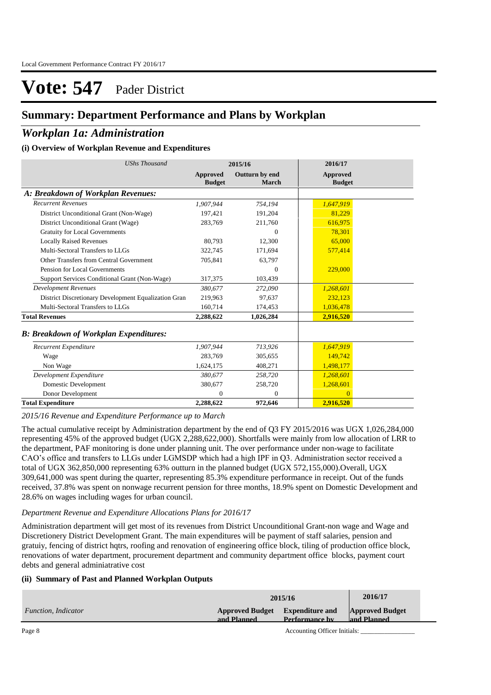### **Summary: Department Performance and Plans by Workplan**

### *Workplan 1a: Administration*

### **(i) Overview of Workplan Revenue and Expenditures**

| <b>UShs Thousand</b>                                 | 2015/16                   |                         | 2016/17                          |
|------------------------------------------------------|---------------------------|-------------------------|----------------------------------|
|                                                      | Approved<br><b>Budget</b> | Outturn by end<br>March | <b>Approved</b><br><b>Budget</b> |
| A: Breakdown of Workplan Revenues:                   |                           |                         |                                  |
| <b>Recurrent Revenues</b>                            | 1,907,944                 | 754,194                 | 1,647,919                        |
| District Unconditional Grant (Non-Wage)              | 197,421                   | 191,204                 | 81,229                           |
| District Unconditional Grant (Wage)                  | 283,769                   | 211,760                 | 616,975                          |
| <b>Gratuity for Local Governments</b>                |                           | $\mathbf{0}$            | 78,301                           |
| <b>Locally Raised Revenues</b>                       | 80,793                    | 12,300                  | 65,000                           |
| Multi-Sectoral Transfers to LLGs                     | 322,745                   | 171,694                 | 577,414                          |
| Other Transfers from Central Government              | 705,841                   | 63,797                  |                                  |
| Pension for Local Governments                        |                           | $\Omega$                | 229,000                          |
| Support Services Conditional Grant (Non-Wage)        | 317,375                   | 103,439                 |                                  |
| <b>Development Revenues</b>                          | 380,677                   | 272,090                 | 1,268,601                        |
| District Discretionary Development Equalization Gran | 219,963                   | 97,637                  | 232,123                          |
| Multi-Sectoral Transfers to LLGs                     | 160,714                   | 174,453                 | 1,036,478                        |
| <b>Total Revenues</b>                                | 2,288,622                 | 1,026,284               | 2,916,520                        |
| <b>B: Breakdown of Workplan Expenditures:</b>        |                           |                         |                                  |
| Recurrent Expenditure                                | 1,907,944                 | 713.926                 | 1,647,919                        |
| Wage                                                 | 283,769                   | 305,655                 | 149,742                          |
| Non Wage                                             | 1,624,175                 | 408,271                 | 1,498,177                        |
| Development Expenditure                              | 380,677                   | 258,720                 | 1,268,601                        |
| Domestic Development                                 | 380,677                   | 258,720                 | 1,268,601                        |
| Donor Development                                    | $\mathbf{0}$              | $\mathbf{0}$            | $\overline{0}$                   |
| <b>Total Expenditure</b>                             | 2,288,622                 | 972,646                 | 2,916,520                        |

*2015/16 Revenue and Expenditure Performance up to March*

The actual cumulative receipt by Administration department by the end of Q3 FY 2015/2016 was UGX 1,026,284,000 representing 45% of the approved budget (UGX 2,288,622,000). Shortfalls were mainly from low allocation of LRR to the department, PAF monitoring is done under planning unit. The over performance under non-wage to facilitate CAO's office and transfers to LLGs under LGMSDP which had a high IPF in Q3. Administration sector received a total of UGX 362,850,000 representing 63% outturn in the planned budget (UGX 572,155,000).Overall, UGX 309,641,000 was spent during the quarter, representing 85.3% expenditure performance in receipt. Out of the funds received, 37.8% was spent on nonwage recurrent pension for three months, 18.9% spent on Domestic Development and 28.6% on wages including wages for urban council.

### *Department Revenue and Expenditure Allocations Plans for 2016/17*

Administration department will get most of its revenues from District Uncounditional Grant-non wage and Wage and Discretionery District Development Grant. The main expenditures will be payment of staff salaries, pension and gratuiy, fencing of district hqtrs, roofing and renovation of engineering office block, tiling of production office block, renovations of water department, procurement department and community department office blocks, payment court debts and general adminiatrative cost

### **(ii) Summary of Past and Planned Workplan Outputs**

|                     | 2015/16                                                                           | 2016/17 |                                       |
|---------------------|-----------------------------------------------------------------------------------|---------|---------------------------------------|
| Function, Indicator | <b>Expenditure and</b><br><b>Approved Budget</b><br>Performance by<br>and Planned |         | <b>Approved Budget</b><br>and Planned |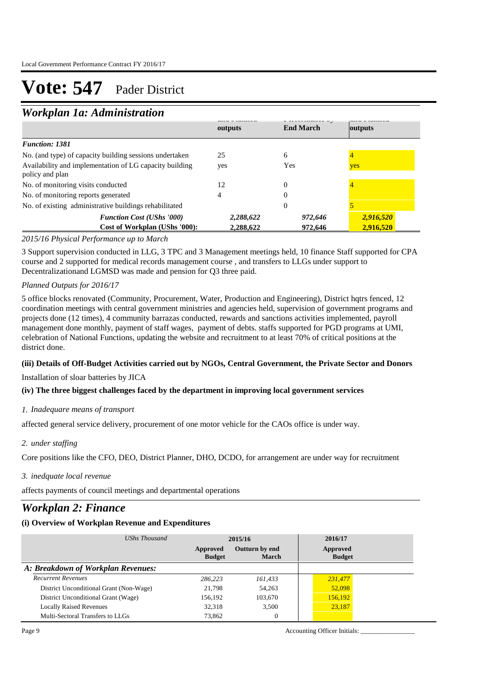### *Workplan 1a: Administration*

| 110110                                                                     |           |                  |           |
|----------------------------------------------------------------------------|-----------|------------------|-----------|
|                                                                            | outputs   | <b>End March</b> | outputs   |
| <b>Function: 1381</b>                                                      |           |                  |           |
| No. (and type) of capacity building sessions undertaken                    | 25        | 6                |           |
| Availability and implementation of LG capacity building<br>policy and plan | yes       | Yes              | yes       |
| No. of monitoring visits conducted                                         | 12        | $\theta$         |           |
| No. of monitoring reports generated                                        |           |                  |           |
| No. of existing administrative buildings rehabilitated                     |           | $\Omega$         |           |
| <b>Function Cost (UShs '000)</b>                                           | 2,288,622 | 972,646          | 2,916,520 |
| Cost of Workplan (UShs '000):                                              | 2,288,622 | 972,646          | 2,916,520 |

### *2015/16 Physical Performance up to March*

3 Support supervision conducted in LLG, 3 TPC and 3 Management meetings held, 10 finance Staff supported for CPA course and 2 supported for medical records management course , and transfers to LLGs under support to Decentralizationand LGMSD was made and pension for Q3 three paid.

#### *Planned Outputs for 2016/17*

5 office blocks renovated (Community, Procurement, Water, Production and Engineering), District hqtrs fenced, 12 coordination meetings with central government ministries and agencies held, supervision of government programs and projects done (12 times), 4 community barrazas conducted, rewards and sanctions activities implemented, payroll management done monthly, payment of staff wages, payment of debts. staffs supported for PGD programs at UMI, celebration of National Functions, updating the website and recruitment to at least 70% of critical positions at the district done.

### **(iii) Details of Off-Budget Activities carried out by NGOs, Central Government, the Private Sector and Donors**

Installation of sloar batteries by JICA

### **(iv) The three biggest challenges faced by the department in improving local government services**

### *Inadequare means of transport 1.*

affected general service delivery, procurement of one motor vehicle for the CAOs office is under way.

### *under staffing 2.*

Core positions like the CFO, DEO, District Planner, DHO, DCDO, for arrangement are under way for recruitment

#### *inedquate local revenue 3.*

affects payments of council meetings and departmental operations

### *Workplan 2: Finance*

### **(i) Overview of Workplan Revenue and Expenditures**

| UShs Thousand                           | 2015/16                   |                                | 2016/17                   |
|-----------------------------------------|---------------------------|--------------------------------|---------------------------|
|                                         | Approved<br><b>Budget</b> | Outturn by end<br><b>March</b> | Approved<br><b>Budget</b> |
| A: Breakdown of Workplan Revenues:      |                           |                                |                           |
| <b>Recurrent Revenues</b>               | 286.223                   | 161,433                        | 231,477                   |
| District Unconditional Grant (Non-Wage) | 21,798                    | 54,263                         | 52,098                    |
| District Unconditional Grant (Wage)     | 156.192                   | 103,670                        | 156,192                   |
| <b>Locally Raised Revenues</b>          | 32,318                    | 3.500                          | 23,187                    |
| Multi-Sectoral Transfers to LLGs        | 73,862                    |                                |                           |

Page 9 Accounting Officer Initials: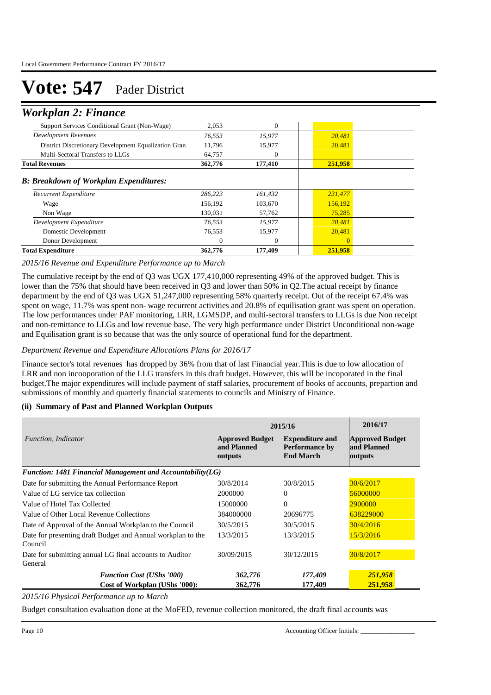### *Workplan 2: Finance*

| <b>Total Expenditure</b>                             | 362,776      | 177,409      | 251,958  |  |
|------------------------------------------------------|--------------|--------------|----------|--|
| Donor Development                                    | $\mathbf{0}$ | $\mathbf{0}$ | $\Omega$ |  |
| Domestic Development                                 | 76,553       | 15,977       | 20,481   |  |
| Development Expenditure                              | 76,553       | 15,977       | 20,481   |  |
| Non Wage                                             | 130.031      | 57,762       | 75,285   |  |
| Wage                                                 | 156.192      | 103,670      | 156,192  |  |
| Recurrent Expenditure                                | 286,223      | 161,432      | 231,477  |  |
| <b>B: Breakdown of Workplan Expenditures:</b>        |              |              |          |  |
| <b>Total Revenues</b>                                | 362,776      | 177,410      | 251,958  |  |
| Multi-Sectoral Transfers to LLGs                     | 64.757       | $\mathbf{0}$ |          |  |
| District Discretionary Development Equalization Gran | 11,796       | 15,977       | 20,481   |  |
| Development Revenues                                 | 76,553       | 15,977       | 20,481   |  |
| Support Services Conditional Grant (Non-Wage)        | 2.053        | $\mathbf{0}$ |          |  |
|                                                      |              |              |          |  |

### *2015/16 Revenue and Expenditure Performance up to March*

The cumulative receipt by the end of Q3 was UGX 177,410,000 representing 49% of the approved budget. This is lower than the 75% that should have been received in Q3 and lower than 50% in Q2. The actual receipt by finance department by the end of Q3 was UGX 51,247,000 representing 58% quarterly receipt. Out of the receipt 67.4% was spent on wage, 11.7% was spent non- wage recurrent activities and 20.8% of equilisation grant was spent on operation. The low performances under PAF monitoring, LRR, LGMSDP, and multi-sectoral transfers to LLGs is due Non receipt and non-remittance to LLGs and low revenue base. The very high performance under District Unconditional non-wage and Equilisation grant is so because that was the only source of operational fund for the department.

#### *Department Revenue and Expenditure Allocations Plans for 2016/17*

Finance sector's total revenues has dropped by 36% from that of last Financial year.This is due to low allocation of LRR and non incooporation of the LLG transfers in this draft budget. However, this will be incoporated in the final budget.The major expenditures will include payment of staff salaries, procurement of books of accounts, prepartion and submissions of monthly and quarterly financial statements to councils and Ministry of Finance.

### **(ii) Summary of Past and Planned Workplan Outputs**

|                                                                        | 2015/16                                          | 2016/17                                                             |                                                  |
|------------------------------------------------------------------------|--------------------------------------------------|---------------------------------------------------------------------|--------------------------------------------------|
| <i>Function, Indicator</i>                                             | <b>Approved Budget</b><br>and Planned<br>outputs | <b>Expenditure and</b><br><b>Performance by</b><br><b>End March</b> | <b>Approved Budget</b><br>and Planned<br>outputs |
| Function: 1481 Financial Management and Accountability $(LG)$          |                                                  |                                                                     |                                                  |
| Date for submitting the Annual Performance Report                      | 30/8/2014                                        | 30/8/2015                                                           | 30/6/2017                                        |
| Value of LG service tax collection                                     | 2000000                                          | $\Omega$                                                            | 56000000                                         |
| Value of Hotel Tax Collected                                           | 15000000                                         | $\Omega$                                                            | 2900000                                          |
| Value of Other Local Revenue Collections                               | 384000000                                        | 20696775                                                            | 638229000                                        |
| Date of Approval of the Annual Workplan to the Council                 | 30/5/2015                                        | 30/5/2015                                                           | 30/4/2016                                        |
| Date for presenting draft Budget and Annual workplan to the<br>Council | 13/3/2015                                        | 13/3/2015                                                           | 15/3/2016                                        |
| Date for submitting annual LG final accounts to Auditor<br>General     | 30/09/2015                                       | 30/12/2015                                                          | 30/8/2017                                        |
| <b>Function Cost (UShs '000)</b>                                       | 362,776                                          | 177,409                                                             | 251,958                                          |
| Cost of Workplan (UShs '000):                                          | 362,776                                          | 177,409                                                             | 251,958                                          |

*2015/16 Physical Performance up to March*

Budget consultation evaluation done at the MoFED, revenue collection monitored, the draft final accounts was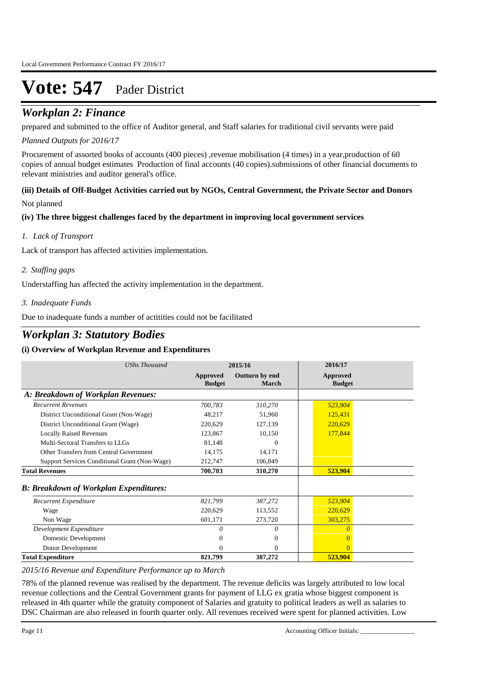### *Workplan 2: Finance*

prepared and submitted to the office of Auditor general, and Staff salaries for traditional civil servants were paid

### *Planned Outputs for 2016/17*

Procurement of assorted books of accounts (400 pieces), revenue mobilisation (4 times) in a year, production of 60 copies of annual budget estimates Production of final accounts (40 copies).submissions of other financial documents to relevant ministries and auditor general's office.

### **(iii) Details of Off-Budget Activities carried out by NGOs, Central Government, the Private Sector and Donors**

Not planned

### **(iv) The three biggest challenges faced by the department in improving local government services**

### *Lack of Transport 1.*

Lack of transport has affected activities implementation.

### *Staffing gaps 2.*

Understaffing has affected the activity implementation in the department.

### *Inadequate Funds 3.*

Due to inadequate funds a number of actitities could not be facilitated

## *Workplan 3: Statutory Bodies*

### **(i) Overview of Workplan Revenue and Expenditures**

| <b>UShs Thousand</b>                          | 2015/16                          |                         | 2016/17                          |  |
|-----------------------------------------------|----------------------------------|-------------------------|----------------------------------|--|
|                                               | <b>Approved</b><br><b>Budget</b> | Outturn by end<br>March | <b>Approved</b><br><b>Budget</b> |  |
| A: Breakdown of Workplan Revenues:            |                                  |                         |                                  |  |
| <b>Recurrent Revenues</b>                     | 700,783                          | 310,270                 | 523,904                          |  |
| District Unconditional Grant (Non-Wage)       | 48,217                           | 51,960                  | 125,431                          |  |
| District Unconditional Grant (Wage)           | 220,629                          | 127,139                 | 220,629                          |  |
| <b>Locally Raised Revenues</b>                | 123,867                          | 10,150                  | 177,844                          |  |
| Multi-Sectoral Transfers to LLGs              | 81,148                           | $\theta$                |                                  |  |
| Other Transfers from Central Government       | 14,175                           | 14,171                  |                                  |  |
| Support Services Conditional Grant (Non-Wage) | 212,747                          | 106,849                 |                                  |  |
| <b>Total Revenues</b>                         | 700,783                          | 310,270                 | 523,904                          |  |
| <b>B: Breakdown of Workplan Expenditures:</b> |                                  |                         |                                  |  |
| Recurrent Expenditure                         | 821,799                          | 387,272                 | 523,904                          |  |
| Wage                                          | 220,629                          | 113,552                 | 220,629                          |  |
| Non Wage                                      | 601,171                          | 273,720                 | 303,275                          |  |
| Development Expenditure                       | $\Omega$                         | 0                       | 0                                |  |
| Domestic Development                          | 0                                | 0                       | $\Omega$                         |  |
| Donor Development                             | 0                                | 0                       | $\Omega$                         |  |
| <b>Total Expenditure</b>                      | 821,799                          | 387,272                 | 523,904                          |  |

*2015/16 Revenue and Expenditure Performance up to March*

78% of the planned revenue was realised by the department. The revenue deficits was largely attributed to low local revenue collections and the Central Government grants for payment of LLG ex gratia whose biggest component is released in 4th quarter while the gratuity component of Salaries and gratuity to political leaders as well as salaries to DSC Chairman are also released in fourth quarter only. All revenues received were spent for planned activities. Low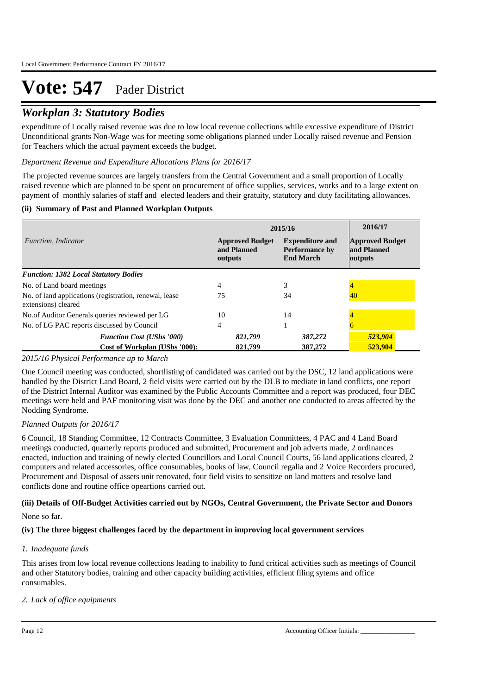### *Workplan 3: Statutory Bodies*

expenditure of Locally raised revenue was due to low local revenue collections while excessive expenditure of District Unconditional grants Non-Wage was for meeting some obligations planned under Locally raised revenue and Pension for Teachers which the actual payment exceeds the budget.

### *Department Revenue and Expenditure Allocations Plans for 2016/17*

The projected revenue sources are largely transfers from the Central Government and a small proportion of Locally raised revenue which are planned to be spent on procurement of office supplies, services, works and to a large extent on payment of monthly salaries of staff and elected leaders and their gratuity, statutory and duty facilitating allowances.

### **(ii) Summary of Past and Planned Workplan Outputs**

|                                                                               | 2015/16                                                                                                                 | 2016/17            |                                                  |
|-------------------------------------------------------------------------------|-------------------------------------------------------------------------------------------------------------------------|--------------------|--------------------------------------------------|
| Function, Indicator                                                           | <b>Approved Budget</b><br><b>Expenditure and</b><br>and Planned<br><b>Performance by</b><br><b>End March</b><br>outputs |                    | <b>Approved Budget</b><br>and Planned<br>outputs |
| <b>Function: 1382 Local Statutory Bodies</b>                                  |                                                                                                                         |                    |                                                  |
| No. of Land board meetings                                                    | 4                                                                                                                       | 3                  |                                                  |
| No. of land applications (registration, renewal, lease<br>extensions) cleared | 75                                                                                                                      | 34                 | 40                                               |
| No.of Auditor Generals queries reviewed per LG                                | 10                                                                                                                      | 14                 |                                                  |
| No. of LG PAC reports discussed by Council                                    | 4                                                                                                                       |                    |                                                  |
| <b>Function Cost (UShs '000)</b><br>Cost of Workplan (UShs '000):             | 821,799<br>821,799                                                                                                      | 387,272<br>387,272 | 523,904<br>523,904                               |

#### *2015/16 Physical Performance up to March*

One Council meeting was conducted, shortlisting of candidated was carried out by the DSC, 12 land applications were handled by the District Land Board, 2 field visits were carried out by the DLB to mediate in land conflicts, one report of the District Internal Auditor was examined by the Public Accounts Committee and a report was produced, four DEC meetings were held and PAF monitoring visit was done by the DEC and another one conducted to areas affected by the Nodding Syndrome.

### *Planned Outputs for 2016/17*

6 Council, 18 Standing Committee, 12 Contracts Committee, 3 Evaluation Committees, 4 PAC and 4 Land Board meetings conducted, quarterly reports produced and submitted, Procurement and job adverts made, 2 ordinances enacted, induction and training of newly elected Councillors and Local Council Courts, 56 land applications cleared, 2 computers and related accessories, office consumables, books of law, Council regalia and 2 Voice Recorders procured, Procurement and Disposal of assets unit renovated, four field visits to sensitize on land matters and resolve land conflicts done and routine office opeartions carried out.

### **(iii) Details of Off-Budget Activities carried out by NGOs, Central Government, the Private Sector and Donors**

None so far.

### **(iv) The three biggest challenges faced by the department in improving local government services**

#### *Inadequate funds 1.*

This arises from low local revenue collections leading to inability to fund critical activities such as meetings of Council and other Statutory bodies, training and other capacity building activities, efficient filing sytems and office consumables.

*Lack of office equipments 2.*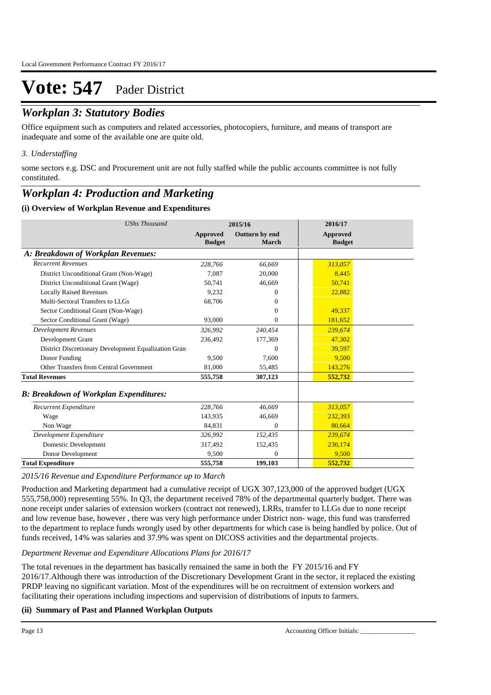### *Workplan 3: Statutory Bodies*

Office equipment such as computers and related accessories, photocopiers, furniture, and means of transport are inadequate and some of the available one are quite old.

### *Understaffing 3.*

some sectors e.g. DSC and Procurement unit are not fully staffed while the public accounts committee is not fully constituted.

### *Workplan 4: Production and Marketing*

### **(i) Overview of Workplan Revenue and Expenditures**

| <b>UShs Thousand</b>                                 |                           | 2015/16                 | 2016/17                          |  |
|------------------------------------------------------|---------------------------|-------------------------|----------------------------------|--|
|                                                      | Approved<br><b>Budget</b> | Outturn by end<br>March | <b>Approved</b><br><b>Budget</b> |  |
| A: Breakdown of Workplan Revenues:                   |                           |                         |                                  |  |
| <b>Recurrent Revenues</b>                            | 228,766                   | 66,669                  | 313,057                          |  |
| District Unconditional Grant (Non-Wage)              | 7.087                     | 20,000                  | 8,445                            |  |
| District Unconditional Grant (Wage)                  | 50,741                    | 46,669                  | 50,741                           |  |
| <b>Locally Raised Revenues</b>                       | 9,232                     | $\Omega$                | 22,882                           |  |
| Multi-Sectoral Transfers to LLGs                     | 68,706                    | $\Omega$                |                                  |  |
| Sector Conditional Grant (Non-Wage)                  |                           | $\mathbf{0}$            | 49,337                           |  |
| Sector Conditional Grant (Wage)                      | 93,000                    | $\mathbf{0}$            | 181,652                          |  |
| <b>Development Revenues</b>                          | 326,992                   | 240,454                 | 239,674                          |  |
| Development Grant                                    | 236,492                   | 177,369                 | 47,302                           |  |
| District Discretionary Development Equalization Gran |                           | $\Omega$                | 39,597                           |  |
| Donor Funding                                        | 9,500                     | 7,600                   | 9,500                            |  |
| Other Transfers from Central Government              | 81.000                    | 55,485                  | 143,276                          |  |
| <b>Total Revenues</b>                                | 555,758                   | 307,123                 | 552,732                          |  |
| <b>B: Breakdown of Workplan Expenditures:</b>        |                           |                         |                                  |  |
| Recurrent Expenditure                                | 228.766                   | 46.669                  | 313.057                          |  |
| Wage                                                 | 143.935                   | 46,669                  | 232.393                          |  |
| Non Wage                                             | 84.831                    | $\mathbf{0}$            | 80.664                           |  |
| Development Expenditure                              | 326.992                   | 152,435                 | 239,674                          |  |
| Domestic Development                                 | 317,492                   | 152,435                 | 230,174                          |  |
| Donor Development                                    | 9,500                     | $\mathbf{0}$            | 9,500                            |  |
| <b>Total Expenditure</b>                             | 555,758                   | 199,103                 | 552,732                          |  |

### *2015/16 Revenue and Expenditure Performance up to March*

Production and Marketing department had a cumulative receipt of UGX 307,123,000 of the approved budget (UGX 555,758,000) representing 55%. In Q3, the department received 78% of the departmental quarterly budget. There was none receipt under salaries of extension workers (contract not renewed), LRRs, transfer to LLGs due to none receipt and low revenue base, however , there was very high performance under District non- wage, this fund was transferred to the department to replace funds wrongly used by other departments for which case is being handled by police. Out of funds received, 14% was salaries and 37.9% was spent on DICOSS activities and the departmental projects.

#### *Department Revenue and Expenditure Allocations Plans for 2016/17*

The total revenues in the department has basically remained the same in both the FY 2015/16 and FY 2016/17.Although there was introduction of the Discretionary Development Grant in the sector, it replaced the existing PRDP leaving no significant variation. Most of the expenditures will be on recruitment of extension workers and facilitating their operations including inspections and supervision of distributions of inputs to farmers.

### **(ii) Summary of Past and Planned Workplan Outputs**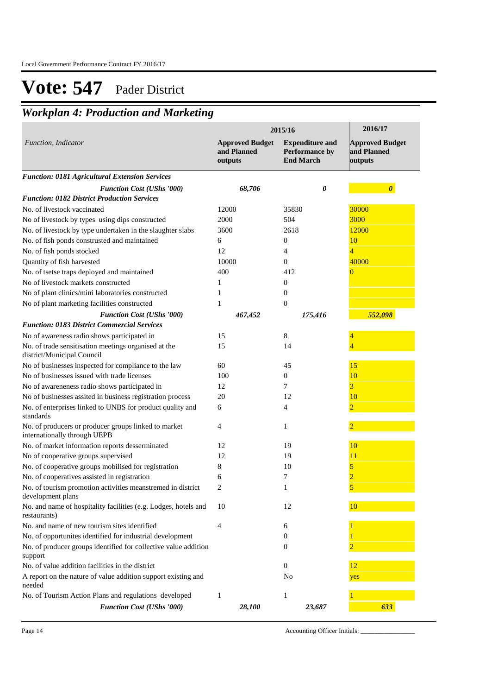## *Workplan 4: Production and Marketing*

|                                                                                      |                                                  | 2015/16                                                      | 2016/17                                          |
|--------------------------------------------------------------------------------------|--------------------------------------------------|--------------------------------------------------------------|--------------------------------------------------|
| Function, Indicator                                                                  | <b>Approved Budget</b><br>and Planned<br>outputs | <b>Expenditure and</b><br>Performance by<br><b>End March</b> | <b>Approved Budget</b><br>and Planned<br>outputs |
| <b>Function: 0181 Agricultural Extension Services</b>                                |                                                  |                                                              |                                                  |
| <b>Function Cost (UShs '000)</b>                                                     | 68,706                                           | 0                                                            | $\boldsymbol{\theta}$                            |
| <b>Function: 0182 District Production Services</b>                                   |                                                  |                                                              |                                                  |
| No. of livestock vaccinated                                                          | 12000                                            | 35830                                                        | 30000                                            |
| No of livestock by types using dips constructed                                      | 2000                                             | 504                                                          | 3000                                             |
| No. of livestock by type undertaken in the slaughter slabs                           | 3600                                             | 2618                                                         | 12000                                            |
| No. of fish ponds construsted and maintained                                         | 6                                                | 0                                                            | 10                                               |
| No. of fish ponds stocked                                                            | 12                                               | 4                                                            | 4                                                |
| Quantity of fish harvested                                                           | 10000                                            | $\overline{0}$                                               | 40000                                            |
| No. of tsetse traps deployed and maintained                                          | 400                                              | 412                                                          | 0                                                |
| No of livestock markets constructed                                                  | 1                                                | $\overline{0}$                                               |                                                  |
| No of plant clinics/mini laboratories constructed                                    | 1                                                | $\theta$                                                     |                                                  |
| No of plant marketing facilities constructed                                         | 1                                                | $\boldsymbol{0}$                                             |                                                  |
| <b>Function Cost (UShs '000)</b>                                                     | 467,452                                          | 175,416                                                      | 552,098                                          |
| <b>Function: 0183 District Commercial Services</b>                                   |                                                  |                                                              |                                                  |
| No of awareness radio shows participated in                                          | 15                                               | 8                                                            |                                                  |
| No. of trade sensitisation meetings organised at the<br>district/Municipal Council   | 15                                               | 14                                                           |                                                  |
| No of businesses inspected for compliance to the law                                 | 60                                               | 45                                                           | 15                                               |
| No of businesses issued with trade licenses                                          | 100                                              | $\mathbf{0}$                                                 | 10                                               |
| No of awareneness radio shows participated in                                        | 12                                               | 7                                                            | 3                                                |
| No of businesses assited in business registration process                            | 20                                               | 12                                                           | 10                                               |
| No. of enterprises linked to UNBS for product quality and<br>standards               | 6                                                | 4                                                            |                                                  |
| No. of producers or producer groups linked to market<br>internationally through UEPB | 4                                                | 1                                                            |                                                  |
| No. of market information reports desserminated                                      | 12                                               | 19                                                           | 10                                               |
| No of cooperative groups supervised                                                  | 12                                               | 19                                                           | 11                                               |
| No. of cooperative groups mobilised for registration                                 | 8                                                | 10                                                           | 5                                                |
| No. of cooperatives assisted in registration                                         | 6                                                | 7                                                            |                                                  |
| No. of tourism promotion activities meanstremed in district<br>development plans     | $\overline{c}$                                   | 1                                                            | 5                                                |
| No. and name of hospitality facilities (e.g. Lodges, hotels and<br>restaurants)      | 10                                               | 12                                                           | 10                                               |
| No. and name of new tourism sites identified                                         | 4                                                | 6                                                            |                                                  |
| No. of opportunites identified for industrial development                            |                                                  | 0                                                            |                                                  |
| No. of producer groups identified for collective value addition<br>support           |                                                  | 0                                                            |                                                  |
| No. of value addition facilities in the district                                     |                                                  | 0                                                            | 12                                               |
| A report on the nature of value addition support existing and<br>needed              |                                                  | No                                                           | yes                                              |
| No. of Tourism Action Plans and regulations developed                                | $\mathbf{1}$                                     | $\mathbf{1}$                                                 |                                                  |
| <b>Function Cost (UShs '000)</b>                                                     | 28,100                                           | 23,687                                                       | 633                                              |

Page 14 Accounting Officer Initials: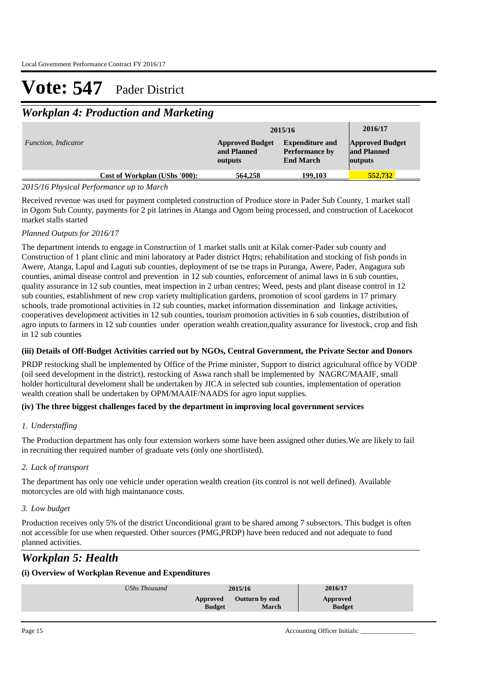## *Workplan 4: Production and Marketing*

|                            |                               |                                                  | 2015/16                                                             | 2016/17                                                 |
|----------------------------|-------------------------------|--------------------------------------------------|---------------------------------------------------------------------|---------------------------------------------------------|
| <i>Function, Indicator</i> |                               | <b>Approved Budget</b><br>and Planned<br>outputs | <b>Expenditure and</b><br><b>Performance by</b><br><b>End March</b> | <b>Approved Budget</b><br>and Planned<br><b>outputs</b> |
|                            | Cost of Workplan (UShs '000): | 564,258                                          | 199,103                                                             | 552.732                                                 |

### *2015/16 Physical Performance up to March*

Received revenue was used for payment completed construction of Produce store in Pader Sub County, 1 market stall in Ogom Sub County, payments for 2 pit latrines in Atanga and Ogom being processed, and construction of Lacekocot market stalls started

### *Planned Outputs for 2016/17*

The department intends to engage in Construction of 1 market stalls unit at Kilak corner-Pader sub county and Construction of 1 plant clinic and mini laboratory at Pader district Hqtrs; rehabilitation and stocking of fish ponds in Awere, Atanga, Lapul and Laguti sub counties, deployment of tse tse traps in Puranga, Awere, Pader, Angagura sub counties, animal disease control and prevention in 12 sub counties, enforcement of animal laws in 6 sub counties, quality assurance in 12 sub counties, meat inspection in 2 urban centres; Weed, pests and plant disease control in 12 sub counties, establishment of new crop variety multiplication gardens, promotion of scool gardens in 17 primary schools, trade promotional activities in 12 sub counties, market information dissemination and linkage activities, cooperatives development activities in 12 sub counties, tourism promotion activities in 6 sub counties, distribution of agro inputs to farmers in 12 sub counties under operation wealth creation,quality assurance for livestock, crop and fish in 12 sub counties

### **(iii) Details of Off-Budget Activities carried out by NGOs, Central Government, the Private Sector and Donors**

PRDP restocking shall be implemented by Office of the Prime minister, Support to district agricultural office by VODP (oil seed development in the district), restocking of Aswa ranch shall be implemented by NAGRC/MAAIF, small holder horticultural develoment shall be undertaken by JICA in selected sub counties, implementation of operation wealth creation shall be undertaken by OPM/MAAIF/NAADS for agro input supplies.

### **(iv) The three biggest challenges faced by the department in improving local government services**

### *Understaffing 1.*

The Production department has only four extension workers some have been assigned other duties.We are likely to fail in recruiting ther required number of graduate vets (only one shortlisted).

### *Lack of transport 2.*

The department has only one vehicle under operation wealth creation (its control is not well defined). Available motorcycles are old with high maintanance costs.

### *Low budget 3.*

Production receives only 5% of the district Unconditional grant to be shared among 7 subsectors. This budget is often not accessible for use when requested. Other sources (PMG,PRDP) have been reduced and not adequate to fund planned activities.

## *Workplan 5: Health*

### **(i) Overview of Workplan Revenue and Expenditures**

| <b>Outturn by end</b><br>Approved<br>Approved | UShs Thousand |               | 2015/16 | 2016/17       |  |
|-----------------------------------------------|---------------|---------------|---------|---------------|--|
|                                               |               | <b>Budget</b> | March   | <b>Budget</b> |  |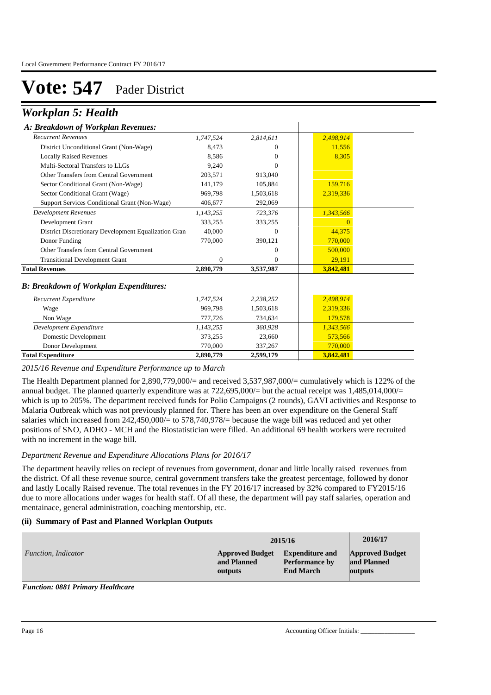### *Workplan 5: Health*

### *A: Breakdown of Workplan Revenues:*

| 1,747,524 | 2,814,611    | 2,498,914 |  |
|-----------|--------------|-----------|--|
| 8,473     | $\mathbf{0}$ | 11,556    |  |
| 8,586     | $\Omega$     | 8,305     |  |
| 9,240     | $\Omega$     |           |  |
| 203,571   | 913,040      |           |  |
| 141,179   | 105,884      | 159,716   |  |
| 969,798   | 1,503,618    | 2,319,336 |  |
| 406,677   | 292,069      |           |  |
| 1,143,255 | 723,376      | 1,343,566 |  |
| 333,255   | 333,255      |           |  |
| 40,000    | $\Omega$     | 44,375    |  |
| 770,000   | 390,121      | 770,000   |  |
|           | $\Omega$     | 500,000   |  |
| $\Omega$  | $\Omega$     | 29,191    |  |
| 2,890,779 | 3,537,987    | 3,842,481 |  |
|           |              |           |  |
| 1,747,524 | 2,238,252    | 2,498,914 |  |
| 969.798   | 1,503,618    | 2,319,336 |  |
| 777,726   | 734,634      | 179,578   |  |
| 1,143,255 | 360,928      | 1,343,566 |  |
| 373,255   | 23,660       | 573,566   |  |
| 770,000   | 337,267      | 770,000   |  |
| 2,890,779 | 2,599,179    | 3,842,481 |  |
|           |              |           |  |

 $\mathbf{I}$ 

### *2015/16 Revenue and Expenditure Performance up to March*

The Health Department planned for 2,890,779,000/= and received 3,537,987,000/= cumulatively which is 122% of the annual budget. The planned quarterly expenditure was at 722,695,000/= but the actual receipt was 1,485,014,000/= which is up to 205%. The department received funds for Polio Campaigns (2 rounds), GAVI activities and Response to Malaria Outbreak which was not previously planned for. There has been an over expenditure on the General Staff salaries which increased from  $242,450,000/=$  to  $578,740,978/=$  because the wage bill was reduced and yet other positions of SNO, ADHO - MCH and the Biostatistician were filled. An additional 69 health workers were recruited with no increment in the wage bill.

#### *Department Revenue and Expenditure Allocations Plans for 2016/17*

The department heavily relies on reciept of revenues from government, donar and little locally raised revenues from the district. Of all these revenue source, central government transfers take the greatest percentage, followed by donor and lastly Locally Raised revenue. The total revenues in the FY 2016/17 increased by 32% compared to FY2015/16 due to more allocations under wages for health staff. Of all these, the department will pay staff salaries, operation and mentainace, general administration, coaching mentorship, etc.

### **(ii) Summary of Past and Planned Workplan Outputs**

|                     |                        | 2015/16                | 2016/17                |
|---------------------|------------------------|------------------------|------------------------|
| Function, Indicator | <b>Approved Budget</b> | <b>Expenditure and</b> | <b>Approved Budget</b> |
|                     | and Planned            | <b>Performance by</b>  | and Planned            |
|                     | outputs                | <b>End March</b>       | outputs                |

#### *Function: 0881 Primary Healthcare*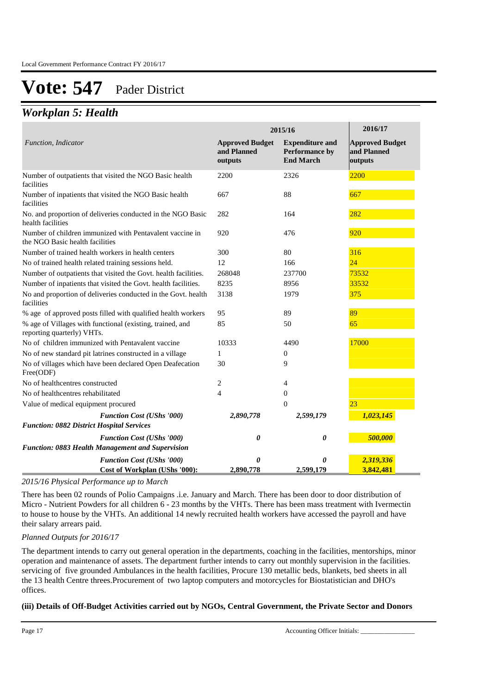### *Workplan 5: Health*

|                                                                                             |                                                  | 2015/16                                                      | 2016/17                                          |
|---------------------------------------------------------------------------------------------|--------------------------------------------------|--------------------------------------------------------------|--------------------------------------------------|
| Function, Indicator                                                                         | <b>Approved Budget</b><br>and Planned<br>outputs | <b>Expenditure and</b><br>Performance by<br><b>End March</b> | <b>Approved Budget</b><br>and Planned<br>outputs |
| Number of outpatients that visited the NGO Basic health<br>facilities                       | 2200                                             | 2326                                                         | 2200                                             |
| Number of inpatients that visited the NGO Basic health<br>facilities                        | 667                                              | 88                                                           | 667                                              |
| No. and proportion of deliveries conducted in the NGO Basic<br>health facilities            | 282                                              | 164                                                          | 282                                              |
| Number of children immunized with Pentavalent vaccine in<br>the NGO Basic health facilities | 920                                              | 476                                                          | 920                                              |
| Number of trained health workers in health centers                                          | 300                                              | 80                                                           | 316                                              |
| No of trained health related training sessions held.                                        | 12                                               | 166                                                          | 24                                               |
| Number of outpatients that visited the Govt. health facilities.                             | 268048                                           | 237700                                                       | 73532                                            |
| Number of inpatients that visited the Govt. health facilities.                              | 8235                                             | 8956                                                         | 33532                                            |
| No and proportion of deliveries conducted in the Govt. health<br>facilities                 | 3138                                             | 1979                                                         | 375                                              |
| % age of approved posts filled with qualified health workers                                | 95                                               | 89                                                           | 89                                               |
| % age of Villages with functional (existing, trained, and<br>reporting quarterly) VHTs.     | 85                                               | 50                                                           | 65                                               |
| No of children immunized with Pentavalent vaccine                                           | 10333                                            | 4490                                                         | 17000                                            |
| No of new standard pit latrines constructed in a village                                    | $\mathbf{1}$                                     | $\mathbf{0}$                                                 |                                                  |
| No of villages which have been declared Open Deafecation<br>Free(ODF)                       | 30                                               | 9                                                            |                                                  |
| No of healthcentres constructed                                                             | 2                                                | $\overline{4}$                                               |                                                  |
| No of healthcentres rehabilitated                                                           | $\overline{4}$                                   | $\mathbf{0}$                                                 |                                                  |
| Value of medical equipment procured                                                         |                                                  | $\overline{0}$                                               | 23                                               |
| <b>Function Cost (UShs '000)</b><br><b>Function: 0882 District Hospital Services</b>        | 2,890,778                                        | 2,599,179                                                    | 1,023,145                                        |
| <b>Function Cost (UShs '000)</b><br>Function: 0883 Health Management and Supervision        | 0                                                | 0                                                            | 500,000                                          |
| <b>Function Cost (UShs '000)</b>                                                            | 0                                                | 0                                                            | 2,319,336                                        |
| Cost of Workplan (UShs '000):                                                               | 2,890,778                                        | 2,599,179                                                    | 3,842,481                                        |

*2015/16 Physical Performance up to March*

There has been 02 rounds of Polio Campaigns .i.e. January and March. There has been door to door distribution of Micro - Nutrient Powders for all children 6 - 23 months by the VHTs. There has been mass treatment with Ivermectin to house to house by the VHTs. An additional 14 newly recruited health workers have accessed the payroll and have their salary arrears paid.

### *Planned Outputs for 2016/17*

The department intends to carry out general operation in the departments, coaching in the facilities, mentorships, minor operation and maintenance of assets. The department further intends to carry out monthly supervision in the facilities. servicing of five grounded Ambulances in the health facilities, Procure 130 metallic beds, blankets, bed sheets in all the 13 health Centre threes.Procurement of two laptop computers and motorcycles for Biostatistician and DHO's offices.

### **(iii) Details of Off-Budget Activities carried out by NGOs, Central Government, the Private Sector and Donors**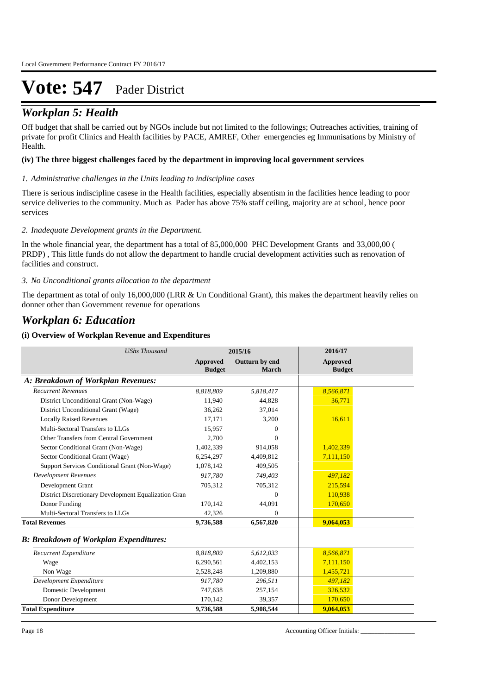### **(***Workplan 5: Health***) Details of Off-Budget Activities can be not only and Donors and Donors <b>Budget Activities** Sector and Donors *Contral Government* Sector and Donors *Contral Government* Sector *Activities*

Off budget that shall be carried out by NGOs include but not limited to the followings; Outreaches activities, training of private for profit Clinics and Health facilities by PACE, AMREF, Other emergencies eg Immunisations by Ministry of Health.

### **(iv) The three biggest challenges faced by the department in improving local government services**

#### *Administrative challenges in the Units leading to indiscipline cases 1.*

There is serious indiscipline casese in the Health facilities, especially absentism in the facilities hence leading to poor service deliveries to the community. Much as Pader has above 75% staff ceiling, majority are at school, hence poor services

#### *Inadequate Development grants in the Department. 2.*

In the whole financial year, the department has a total of 85,000,000 PHC Development Grants and 33,000,00 ( PRDP) , This little funds do not allow the department to handle crucial development activities such as renovation of facilities and construct.

### *No Unconditional grants allocation to the department 3.*

The department as total of only 16,000,000 (LRR & Un Conditional Grant), this makes the department heavily relies on donner other than Government revenue for operations

### *Workplan 6: Education*

### **(i) Overview of Workplan Revenue and Expenditures**

| <b>UShs Thousand</b>                                 |                           | 2015/16                 | 2016/17                          |
|------------------------------------------------------|---------------------------|-------------------------|----------------------------------|
|                                                      | Approved<br><b>Budget</b> | Outturn by end<br>March | <b>Approved</b><br><b>Budget</b> |
| A: Breakdown of Workplan Revenues:                   |                           |                         |                                  |
| <b>Recurrent Revenues</b>                            | 8,818,809                 | 5,818,417               | 8,566,871                        |
| District Unconditional Grant (Non-Wage)              | 11,940                    | 44,828                  | 36,771                           |
| District Unconditional Grant (Wage)                  | 36,262                    | 37.014                  |                                  |
| <b>Locally Raised Revenues</b>                       | 17,171                    | 3,200                   | 16,611                           |
| Multi-Sectoral Transfers to LLGs                     | 15,957                    | $\Omega$                |                                  |
| Other Transfers from Central Government              | 2,700                     | $\Omega$                |                                  |
| Sector Conditional Grant (Non-Wage)                  | 1,402,339                 | 914,058                 | 1,402,339                        |
| Sector Conditional Grant (Wage)                      | 6,254,297                 | 4,409,812               | 7,111,150                        |
| Support Services Conditional Grant (Non-Wage)        | 1,078,142                 | 409,505                 |                                  |
| <b>Development Revenues</b>                          | 917.780                   | 749,403                 | 497,182                          |
| Development Grant                                    | 705,312                   | 705,312                 | 215,594                          |
| District Discretionary Development Equalization Gran |                           | $\Omega$                | 110,938                          |
| Donor Funding                                        | 170,142                   | 44,091                  | 170,650                          |
| Multi-Sectoral Transfers to LLGs                     | 42,326                    | $\Omega$                |                                  |
| <b>Total Revenues</b>                                | 9,736,588                 | 6,567,820               | 9,064,053                        |
| <b>B: Breakdown of Workplan Expenditures:</b>        |                           |                         |                                  |
| Recurrent Expenditure                                | 8,818,809                 | 5,612,033               | 8,566,871                        |
| Wage                                                 | 6,290,561                 | 4,402,153               | 7,111,150                        |
| Non Wage                                             | 2,528,248                 | 1,209,880               | 1,455,721                        |
| Development Expenditure                              | 917,780                   | 296,511                 | 497,182                          |
| Domestic Development                                 | 747,638                   | 257,154                 | 326,532                          |
| Donor Development                                    | 170,142                   | 39,357                  | 170,650                          |
| <b>Total Expenditure</b>                             | 9,736,588                 | 5,908,544               | 9,064,053                        |

Page 18 Accounting Officer Initials: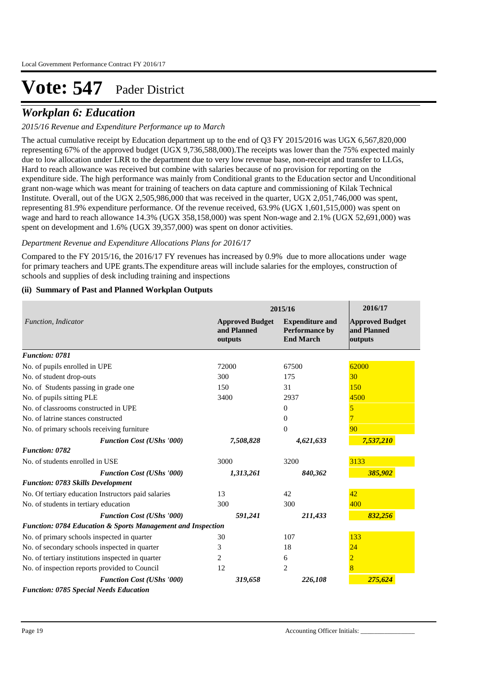### *Workplan 6: Education*

### *2015/16 Revenue and Expenditure Performance up to March*

The actual cumulative receipt by Education department up to the end of Q3 FY 2015/2016 was UGX 6,567,820,000 representing 67% of the approved budget (UGX 9,736,588,000).The receipts was lower than the 75% expected mainly due to low allocation under LRR to the department due to very low revenue base, non-receipt and transfer to LLGs, Hard to reach allowance was received but combine with salaries because of no provision for reporting on the expenditure side. The high performance was mainly from Conditional grants to the Education sector and Unconditional grant non-wage which was meant for training of teachers on data capture and commissioning of Kilak Technical Institute. Overall, out of the UGX 2,505,986,000 that was received in the quarter, UGX 2,051,746,000 was spent, representing 81.9% expenditure performance. Of the revenue received, 63.9% (UGX 1,601,515,000) was spent on wage and hard to reach allowance 14.3% (UGX 358,158,000) was spent Non-wage and 2.1% (UGX 52,691,000) was spent on development and 1.6% (UGX 39,357,000) was spent on donor activities.

### *Department Revenue and Expenditure Allocations Plans for 2016/17*

Compared to the FY 2015/16, the 2016/17 FY revenues has increased by 0.9% due to more allocations under wage for primary teachers and UPE grants.The expenditure areas will include salaries for the employes, construction of schools and supplies of desk including training and inspections

### **(ii) Summary of Past and Planned Workplan Outputs**

|                                                             |                                                  | 2015/16                                                      | 2016/17                                          |
|-------------------------------------------------------------|--------------------------------------------------|--------------------------------------------------------------|--------------------------------------------------|
| Function, Indicator                                         | <b>Approved Budget</b><br>and Planned<br>outputs | <b>Expenditure and</b><br>Performance by<br><b>End March</b> | <b>Approved Budget</b><br>and Planned<br>outputs |
| <b>Function: 0781</b>                                       |                                                  |                                                              |                                                  |
| No. of pupils enrolled in UPE                               | 72000                                            | 67500                                                        | 62000                                            |
| No. of student drop-outs                                    | 300                                              | 175                                                          | 30                                               |
| No. of Students passing in grade one                        | 150                                              | 31                                                           | 150                                              |
| No. of pupils sitting PLE                                   | 3400                                             | 2937                                                         | 4500                                             |
| No. of classrooms constructed in UPE                        |                                                  | $\mathbf{0}$                                                 | 5                                                |
| No. of latrine stances constructed                          |                                                  | $\Omega$                                                     | 7                                                |
| No. of primary schools receiving furniture                  |                                                  | $\overline{0}$                                               | 90                                               |
| <b>Function Cost (UShs '000)</b>                            | 7,508,828                                        | 4,621,633                                                    | 7,537,210                                        |
| <b>Function: 0782</b>                                       |                                                  |                                                              |                                                  |
| No. of students enrolled in USE                             | 3000                                             | 3200                                                         | 3133                                             |
| <b>Function Cost (UShs '000)</b>                            | 1,313,261                                        | 840,362                                                      | 385,902                                          |
| <b>Function: 0783 Skills Development</b>                    |                                                  |                                                              |                                                  |
| No. Of tertiary education Instructors paid salaries         | 13                                               | 42                                                           | 42                                               |
| No. of students in tertiary education                       | 300                                              | 300                                                          | 400                                              |
| <b>Function Cost (UShs '000)</b>                            | 591,241                                          | 211,433                                                      | 832,256                                          |
| Function: 0784 Education & Sports Management and Inspection |                                                  |                                                              |                                                  |
| No. of primary schools inspected in quarter                 | 30                                               | 107                                                          | 133                                              |
| No. of secondary schools inspected in quarter               | 3                                                | 18                                                           | 24                                               |
| No. of tertiary institutions inspected in quarter           | 2                                                | 6                                                            | $\overline{2}$                                   |
| No. of inspection reports provided to Council               | 12                                               | 2                                                            | 8                                                |
| <b>Function Cost (UShs '000)</b>                            | 319,658                                          | 226,108                                                      | 275,624                                          |
| <b>Function: 0785 Special Needs Education</b>               |                                                  |                                                              |                                                  |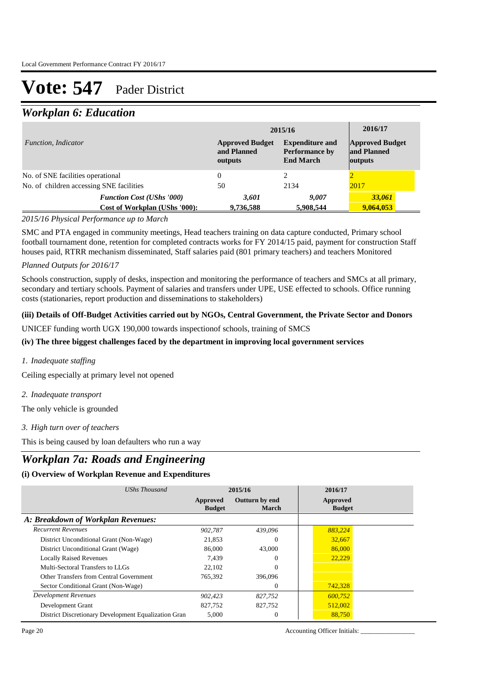### *Workplan 6: Education*

|                                          |                                                                   |                                                  | 2015/16                                                      | 2016/17                                          |
|------------------------------------------|-------------------------------------------------------------------|--------------------------------------------------|--------------------------------------------------------------|--------------------------------------------------|
| <i>Function, Indicator</i>               |                                                                   | <b>Approved Budget</b><br>and Planned<br>outputs | <b>Expenditure and</b><br>Performance by<br><b>End March</b> | <b>Approved Budget</b><br>and Planned<br>outputs |
| No. of SNE facilities operational        |                                                                   | 0                                                |                                                              |                                                  |
| No. of children accessing SNE facilities |                                                                   | 50                                               | 2134                                                         | 2017                                             |
|                                          | <b>Function Cost (UShs '000)</b><br>Cost of Workplan (UShs '000): | 3,601<br>9,736,588                               | 9,007<br>5,908,544                                           | 33,061<br>9,064,053                              |

### *2015/16 Physical Performance up to March*

SMC and PTA engaged in community meetings, Head teachers training on data capture conducted, Primary school football tournament done, retention for completed contracts works for FY 2014/15 paid, payment for construction Staff houses paid, RTRR mechanism disseminated, Staff salaries paid (801 primary teachers) and teachers Monitored

### *Planned Outputs for 2016/17*

Schools construction, supply of desks, inspection and monitoring the performance of teachers and SMCs at all primary, secondary and tertiary schools. Payment of salaries and transfers under UPE, USE effected to schools. Office running costs (stationaries, report production and disseminations to stakeholders)

### **(iii) Details of Off-Budget Activities carried out by NGOs, Central Government, the Private Sector and Donors**

UNICEF funding worth UGX 190,000 towards inspectionof schools, training of SMCS

### **(iv) The three biggest challenges faced by the department in improving local government services**

*Inadequate staffing 1.*

Ceiling especially at primary level not opened

*Inadequate transport 2.*

The only vehicle is grounded

*High turn over of teachers 3.*

This is being caused by loan defaulters who run a way

### *Workplan 7a: Roads and Engineering*

### **(i) Overview of Workplan Revenue and Expenditures**

| UShs Thousand                                        |                           | 2015/16                 | 2016/17                   |  |
|------------------------------------------------------|---------------------------|-------------------------|---------------------------|--|
|                                                      | Approved<br><b>Budget</b> | Outturn by end<br>March | Approved<br><b>Budget</b> |  |
| A: Breakdown of Workplan Revenues:                   |                           |                         |                           |  |
| <b>Recurrent Revenues</b>                            | 902.787                   | 439.096                 | 883,224                   |  |
| District Unconditional Grant (Non-Wage)              | 21,853                    | $\Omega$                | 32,667                    |  |
| District Unconditional Grant (Wage)                  | 86,000                    | 43,000                  | 86,000                    |  |
| <b>Locally Raised Revenues</b>                       | 7.439                     | $\Omega$                | 22.229                    |  |
| Multi-Sectoral Transfers to LLGs                     | 22,102                    | $\Omega$                |                           |  |
| Other Transfers from Central Government              | 765,392                   | 396,096                 |                           |  |
| Sector Conditional Grant (Non-Wage)                  |                           | $\Omega$                | 742,328                   |  |
| <b>Development Revenues</b>                          | 902.423                   | 827.752                 | 600.752                   |  |
| Development Grant                                    | 827,752                   | 827,752                 | 512,002                   |  |
| District Discretionary Development Equalization Gran | 5,000                     | $\Omega$                | 88,750                    |  |

Page 20 Accounting Officer Initials: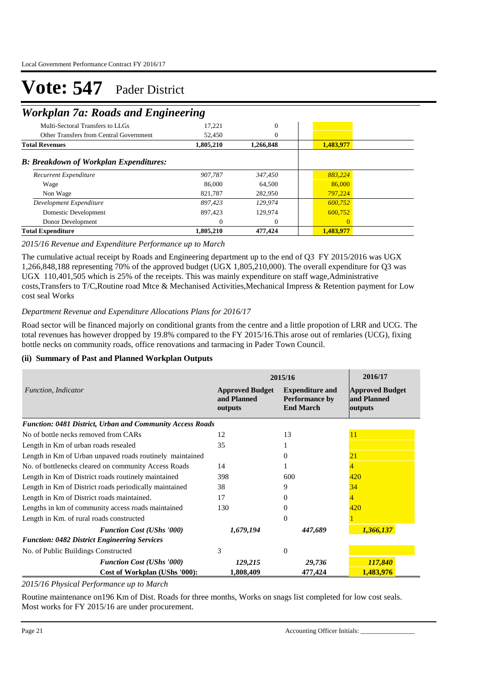### *Workplan 7a: Roads and Engineering*

| Multi-Sectoral Transfers to LLGs              | 17,221    | $\overline{0}$ |           |  |
|-----------------------------------------------|-----------|----------------|-----------|--|
| Other Transfers from Central Government       | 52,450    | 0              |           |  |
| <b>Total Revenues</b>                         | 1,805,210 | 1,266,848      | 1,483,977 |  |
| <b>B: Breakdown of Workplan Expenditures:</b> |           |                |           |  |
| Recurrent Expenditure                         | 907,787   | 347,450        | 883.224   |  |
| Wage                                          | 86,000    | 64.500         | 86,000    |  |
| Non Wage                                      | 821.787   | 282,950        | 797.224   |  |
| Development Expenditure                       | 897.423   | 129,974        | 600.752   |  |
| Domestic Development                          | 897.423   | 129,974        | 600,752   |  |
| Donor Development                             | $\Omega$  | $\Omega$       | $\Omega$  |  |
| <b>Total Expenditure</b>                      | 1,805,210 | 477,424        | 1,483,977 |  |

### *2015/16 Revenue and Expenditure Performance up to March*

The cumulative actual receipt by Roads and Engineering department up to the end of Q3 FY 2015/2016 was UGX 1,266,848,188 representing 70% of the approved budget (UGX 1,805,210,000). The overall expenditure for Q3 was UGX 110,401,505 which is 25% of the receipts. This was mainly expenditure on staff wage,Administrative costs,Transfers to T/C,Routine road Mtce & Mechanised Activities,Mechanical Impress & Retention payment for Low cost seal Works

### *Department Revenue and Expenditure Allocations Plans for 2016/17*

Road sector will be financed majorly on conditional grants from the centre and a little propotion of LRR and UCG. The total revenues has however dropped by 19.8% compared to the FY 2015/16.This arose out of remlaries (UCG), fixing bottle necks on community roads, office renovations and tarmacing in Pader Town Council.

### **(ii) Summary of Past and Planned Workplan Outputs**

|                                                                  | 2015/16                                          | 2016/17                                                             |                                                  |
|------------------------------------------------------------------|--------------------------------------------------|---------------------------------------------------------------------|--------------------------------------------------|
| Function, Indicator                                              | <b>Approved Budget</b><br>and Planned<br>outputs | <b>Expenditure and</b><br><b>Performance by</b><br><b>End March</b> | <b>Approved Budget</b><br>and Planned<br>outputs |
| <b>Function: 0481 District, Urban and Community Access Roads</b> |                                                  |                                                                     |                                                  |
| No of bottle necks removed from CARs                             | 12                                               | 13                                                                  | 11                                               |
| Length in Km of urban roads resealed                             | 35                                               |                                                                     |                                                  |
| Length in Km of Urban unpaved roads routinely maintained         |                                                  | 0                                                                   | 21                                               |
| No. of bottlenecks cleared on community Access Roads             | 14                                               |                                                                     | 4                                                |
| Length in Km of District roads routinely maintained              | 398                                              | 600                                                                 | 420                                              |
| Length in Km of District roads periodically maintained           | 38                                               | 9                                                                   | 34                                               |
| Length in Km of District roads maintained.                       | 17                                               | 0                                                                   | 4                                                |
| Lengths in km of community access roads maintained               | 130                                              | $\Omega$                                                            | 420                                              |
| Length in Km. of rural roads constructed                         |                                                  | $\Omega$                                                            |                                                  |
| <b>Function Cost (UShs '000)</b>                                 | 1,679,194                                        | 447,689                                                             | 1,366,137                                        |
| <b>Function: 0482 District Engineering Services</b>              |                                                  |                                                                     |                                                  |
| No. of Public Buildings Constructed                              | 3                                                | $\theta$                                                            |                                                  |
| <b>Function Cost (UShs '000)</b>                                 | 129,215                                          | 29,736                                                              | 117,840                                          |
| Cost of Workplan (UShs '000):                                    | 1,808,409                                        | 477,424                                                             | 1,483,976                                        |

*2015/16 Physical Performance up to March*

Routine maintenance on196 Km of Dist. Roads for three months, Works on snags list completed for low cost seals. Most works for FY 2015/16 are under procurement.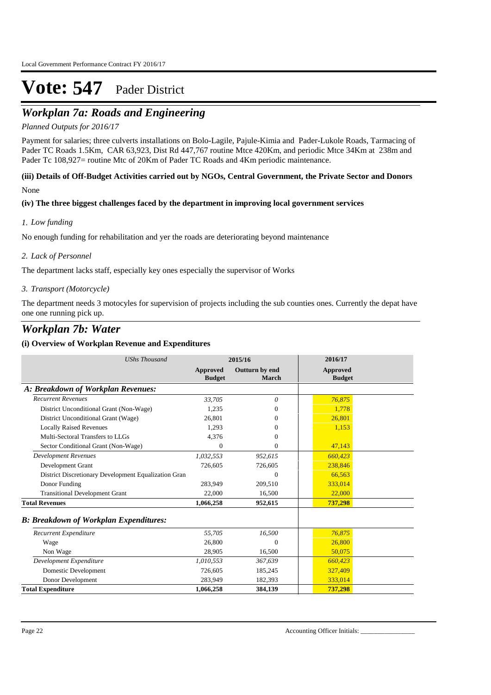## *Workplan 7a: Roads and Engineering*

### *Planned Outputs for 2016/17*

Payment for salaries; three culverts installations on Bolo-Lagile, Pajule-Kimia and Pader-Lukole Roads, Tarmacing of Pader TC Roads 1.5Km, CAR 63,923, Dist Rd 447,767 routine Mtce 420Km, and periodic Mtce 34Km at 238m and Pader Tc 108,927= routine Mtc of 20Km of Pader TC Roads and 4Km periodic maintenance.

### **(iii) Details of Off-Budget Activities carried out by NGOs, Central Government, the Private Sector and Donors**  None

### **(iv) The three biggest challenges faced by the department in improving local government services**

### *Low funding 1.*

No enough funding for rehabilitation and yer the roads are deteriorating beyond maintenance

### *Lack of Personnel 2.*

The department lacks staff, especially key ones especially the supervisor of Works

### *Transport (Motorcycle) 3.*

The department needs 3 motocyles for supervision of projects including the sub counties ones. Currently the depat have one one running pick up.

### *Workplan 7b: Water*

### **(i) Overview of Workplan Revenue and Expenditures**

| <b>UShs Thousand</b>                                 |                           | 2015/16                 | 2016/17                   |
|------------------------------------------------------|---------------------------|-------------------------|---------------------------|
|                                                      | Approved<br><b>Budget</b> | Outturn by end<br>March | Approved<br><b>Budget</b> |
| A: Breakdown of Workplan Revenues:                   |                           |                         |                           |
| <b>Recurrent Revenues</b>                            | 33.705                    | 0                       | 76,875                    |
| District Unconditional Grant (Non-Wage)              | 1,235                     | 0                       | 1.778                     |
| District Unconditional Grant (Wage)                  | 26,801                    | 0                       | 26,801                    |
| <b>Locally Raised Revenues</b>                       | 1,293                     | 0                       | 1,153                     |
| Multi-Sectoral Transfers to LLGs                     | 4,376                     | 0                       |                           |
| Sector Conditional Grant (Non-Wage)                  | $\Omega$                  | $\mathbf{0}$            | 47,143                    |
| <b>Development Revenues</b>                          | 1,032,553                 | 952,615                 | 660,423                   |
| Development Grant                                    | 726,605                   | 726,605                 | 238,846                   |
| District Discretionary Development Equalization Gran |                           | $\Omega$                | 66,563                    |
| Donor Funding                                        | 283,949                   | 209,510                 | 333,014                   |
| <b>Transitional Development Grant</b>                | 22,000                    | 16,500                  | 22,000                    |
| <b>Total Revenues</b>                                | 1,066,258                 | 952,615                 | 737,298                   |
| <b>B: Breakdown of Workplan Expenditures:</b>        |                           |                         |                           |
| Recurrent Expenditure                                | 55,705                    | 16,500                  | 76,875                    |
| Wage                                                 | 26,800                    | $\mathbf{0}$            | 26,800                    |
| Non Wage                                             | 28,905                    | 16,500                  | 50,075                    |
| Development Expenditure                              | 1,010,553                 | 367,639                 | 660,423                   |
| Domestic Development                                 | 726,605                   | 185,245                 | 327,409                   |
| Donor Development                                    | 283,949                   | 182,393                 | 333,014                   |
| <b>Total Expenditure</b>                             | 1,066,258                 | 384,139                 | 737,298                   |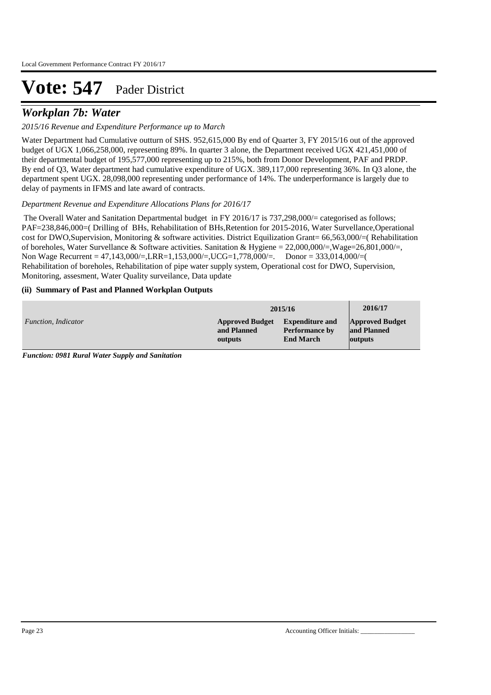## *Workplan 7b: Water*

### *2015/16 Revenue and Expenditure Performance up to March*

Water Department had Cumulative outturn of SHS. 952,615,000 By end of Quarter 3, FY 2015/16 out of the approved budget of UGX 1,066,258,000, representing 89%. In quarter 3 alone, the Department received UGX 421,451,000 of their departmental budget of 195,577,000 representing up to 215%, both from Donor Development, PAF and PRDP. By end of Q3, Water department had cumulative expenditure of UGX. 389,117,000 representing 36%. In Q3 alone, the department spent UGX. 28,098,000 representing under performance of 14%. The underperformance is largely due to delay of payments in IFMS and late award of contracts.

### *Department Revenue and Expenditure Allocations Plans for 2016/17*

 The Overall Water and Sanitation Departmental budget in FY 2016/17 is 737,298,000/= categorised as follows; PAF=238,846,000=( Drilling of BHs, Rehabilitation of BHs,Retention for 2015-2016, Water Survellance,Operational cost for DWO,Supervision, Monitoring & software activities. District Equilization Grant= 66,563,000/=( Rehabilitation of boreholes, Water Survellance & Software activities. Sanitation & Hygiene = 22,000,000/=,Wage=26,801,000/=, Non Wage Recurrent = 47,143,000/=,LRR=1,153,000/=,UCG=1,778,000/=. Donor = 333,014,000/=( Rehabilitation of boreholes, Rehabilitation of pipe water supply system, Operational cost for DWO, Supervision, Monitoring, assesment, Water Quality surveilance, Data update

### **(ii) Summary of Past and Planned Workplan Outputs**

|                     | 2015/16                |                        | 2016/17                |
|---------------------|------------------------|------------------------|------------------------|
| Function, Indicator | <b>Approved Budget</b> | <b>Expenditure and</b> | <b>Approved Budget</b> |
|                     | and Planned            | <b>Performance by</b>  | and Planned            |
|                     | outputs                | <b>End March</b>       | outputs                |

*Function: 0981 Rural Water Supply and Sanitation*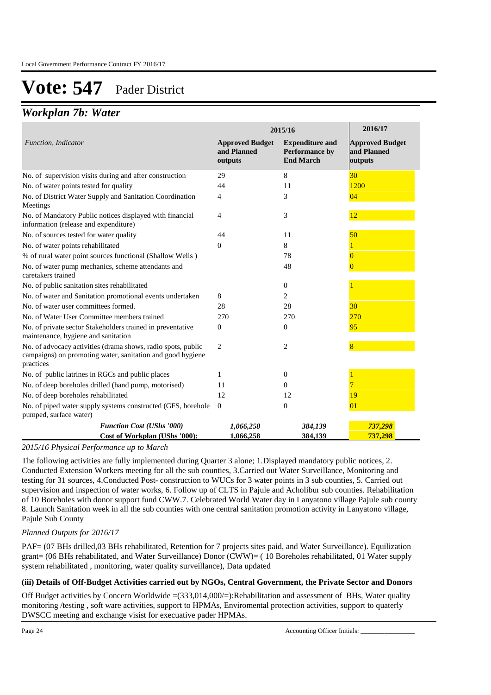### *Workplan 7b: Water*

|                                                                                                                                         | 2015/16                                          | 2016/17                                                      |                                                  |
|-----------------------------------------------------------------------------------------------------------------------------------------|--------------------------------------------------|--------------------------------------------------------------|--------------------------------------------------|
| Function, Indicator                                                                                                                     | <b>Approved Budget</b><br>and Planned<br>outputs | <b>Expenditure and</b><br>Performance by<br><b>End March</b> | <b>Approved Budget</b><br>and Planned<br>outputs |
| No. of supervision visits during and after construction                                                                                 | 29                                               | 8                                                            | 30                                               |
| No. of water points tested for quality                                                                                                  | 44                                               | 11                                                           | 1200                                             |
| No. of District Water Supply and Sanitation Coordination<br>Meetings                                                                    | 4                                                | 3                                                            | 04                                               |
| No. of Mandatory Public notices displayed with financial<br>information (release and expenditure)                                       | 4                                                | 3                                                            | 12                                               |
| No. of sources tested for water quality                                                                                                 | 44                                               | 11                                                           | 50                                               |
| No. of water points rehabilitated                                                                                                       | $\theta$                                         | 8                                                            |                                                  |
| % of rural water point sources functional (Shallow Wells)                                                                               |                                                  | 78                                                           |                                                  |
| No. of water pump mechanics, scheme attendants and<br>caretakers trained                                                                |                                                  | 48                                                           | $\bf{0}$                                         |
| No. of public sanitation sites rehabilitated                                                                                            |                                                  | $\mathbf{0}$                                                 |                                                  |
| No. of water and Sanitation promotional events undertaken                                                                               | 8                                                | 2                                                            |                                                  |
| No. of water user committees formed.                                                                                                    | 28                                               | 28                                                           | 30                                               |
| No. of Water User Committee members trained                                                                                             | 270                                              | 270                                                          | 270                                              |
| No. of private sector Stakeholders trained in preventative<br>maintenance, hygiene and sanitation                                       | $\overline{0}$                                   | $\overline{0}$                                               | 95                                               |
| No. of advocacy activities (drama shows, radio spots, public<br>campaigns) on promoting water, sanitation and good hygiene<br>practices | 2                                                | 2                                                            | 8                                                |
| No. of public latrines in RGCs and public places                                                                                        | 1                                                | $\mathbf{0}$                                                 |                                                  |
| No. of deep boreholes drilled (hand pump, motorised)                                                                                    | 11                                               | $\Omega$                                                     |                                                  |
| No. of deep boreholes rehabilitated                                                                                                     | 12                                               | 12                                                           | 19                                               |
| No. of piped water supply systems constructed (GFS, borehole<br>pumped, surface water)                                                  | $\theta$                                         | $\theta$                                                     | 01                                               |
| <b>Function Cost (UShs '000)</b>                                                                                                        | 1,066,258                                        | 384,139                                                      | 737,298                                          |
| Cost of Workplan (UShs '000):                                                                                                           | 1,066,258                                        | 384,139                                                      | 737,298                                          |

### *2015/16 Physical Performance up to March*

The following activities are fully implemented during Quarter 3 alone; 1.Displayed mandatory public notices, 2. Conducted Extension Workers meeting for all the sub counties, 3.Carried out Water Surveillance, Monitoring and testing for 31 sources, 4.Conducted Post- construction to WUCs for 3 water points in 3 sub counties, 5. Carried out supervision and inspection of water works, 6. Follow up of CLTS in Pajule and Acholibur sub counties. Rehabilitation of 10 Boreholes with donor support fund CWW.7. Celebrated World Water day in Lanyatono village Pajule sub county 8. Launch Sanitation week in all the sub counties with one central sanitation promotion activity in Lanyatono village, Pajule Sub County

### *Planned Outputs for 2016/17*

PAF= (07 BHs drilled,03 BHs rehabilitated, Retention for 7 projects sites paid, and Water Surveillance). Equilization grant= (06 BHs rehabilitated, and Water Surveillance) Donor (CWW)= ( 10 Boreholes rehabilitated, 01 Water supply system rehabilitated , monitoring, water quality surveillance), Data updated

### **(iii) Details of Off-Budget Activities carried out by NGOs, Central Government, the Private Sector and Donors**

Off Budget activities by Concern Worldwide =(333,014,000/=):Rehabilitation and assessment of BHs, Water quality monitoring /testing , soft ware activities, support to HPMAs, Enviromental protection activities, support to quaterly DWSCC meeting and exchange visist for execuative pader HPMAs.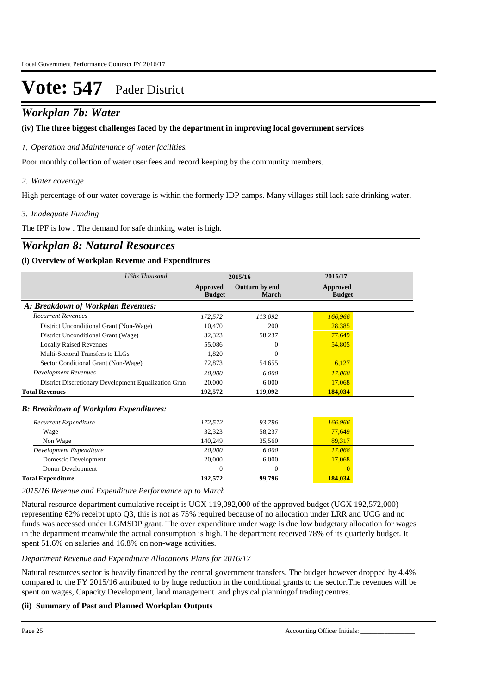### *Workplan 7b: Water*

### **(iv) The three biggest challenges faced by the department in improving local government services**

*Operation and Maintenance of water facilities. 1.*

Poor monthly collection of water user fees and record keeping by the community members.

### *Water coverage 2.*

High percentage of our water coverage is within the formerly IDP camps. Many villages still lack safe drinking water.

### *Inadequate Funding 3.*

The IPF is low . The demand for safe drinking water is high.

## *Workplan 8: Natural Resources*

### **(i) Overview of Workplan Revenue and Expenditures**

| <b>UShs Thousand</b>                                 |                           | 2015/16                 | 2016/17                   |  |
|------------------------------------------------------|---------------------------|-------------------------|---------------------------|--|
|                                                      | Approved<br><b>Budget</b> | Outturn by end<br>March | Approved<br><b>Budget</b> |  |
| A: Breakdown of Workplan Revenues:                   |                           |                         |                           |  |
| <b>Recurrent Revenues</b>                            | 172,572                   | 113,092                 | 166,966                   |  |
| District Unconditional Grant (Non-Wage)              | 10,470                    | 200                     | 28,385                    |  |
| District Unconditional Grant (Wage)                  | 32,323                    | 58,237                  | 77,649                    |  |
| <b>Locally Raised Revenues</b>                       | 55,086                    | $\Omega$                | 54,805                    |  |
| Multi-Sectoral Transfers to LLGs                     | 1,820                     | $\Omega$                |                           |  |
| Sector Conditional Grant (Non-Wage)                  | 72,873                    | 54,655                  | 6,127                     |  |
| <b>Development Revenues</b>                          | 20,000                    | 6,000                   | 17,068                    |  |
| District Discretionary Development Equalization Gran | 20,000                    | 6.000                   | 17,068                    |  |
| <b>Total Revenues</b>                                | 192,572                   | 119,092                 | 184,034                   |  |
| <b>B: Breakdown of Workplan Expenditures:</b>        |                           |                         |                           |  |
| Recurrent Expenditure                                | 172,572                   | 93,796                  | 166,966                   |  |
| Wage                                                 | 32,323                    | 58,237                  | 77,649                    |  |
| Non Wage                                             | 140,249                   | 35,560                  | 89,317                    |  |
| Development Expenditure                              | 20,000                    | 6.000                   | 17,068                    |  |
| Domestic Development                                 | 20,000                    | 6,000                   | 17,068                    |  |
| Donor Development                                    | $\mathbf{0}$              | $\theta$                | $\overline{0}$            |  |
| <b>Total Expenditure</b>                             | 192,572                   | 99,796                  | 184,034                   |  |

### *2015/16 Revenue and Expenditure Performance up to March*

Natural resource department cumulative receipt is UGX 119,092,000 of the approved budget (UGX 192,572,000) representing 62% receipt upto Q3, this is not as 75% required because of no allocation under LRR and UCG and no funds was accessed under LGMSDP grant. The over expenditure under wage is due low budgetary allocation for wages in the department meanwhile the actual consumption is high. The department received 78% of its quarterly budget. It spent 51.6% on salaries and 16.8% on non-wage activities.

### *Department Revenue and Expenditure Allocations Plans for 2016/17*

Natural resources sector is heavily financed by the central government transfers. The budget however dropped by 4.4% compared to the FY 2015/16 attributed to by huge reduction in the conditional grants to the sector.The revenues will be spent on wages, Capacity Development, land management and physical planningof trading centres.

### **(ii) Summary of Past and Planned Workplan Outputs**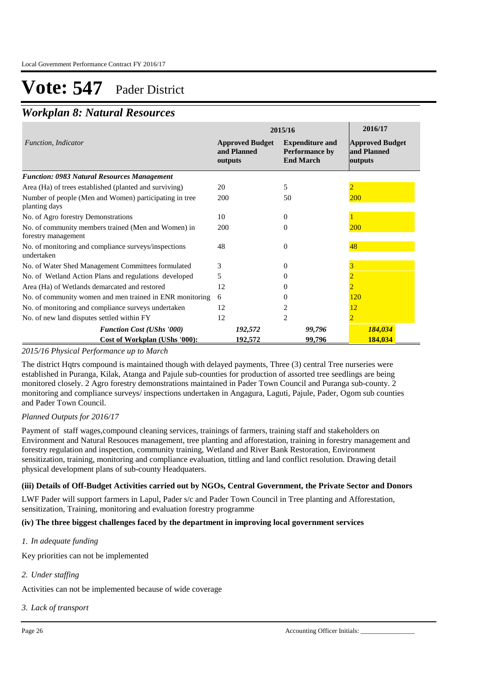### *Workplan 8: Natural Resources*

|                                                                            | 2015/16                                          | 2016/17                                                      |                                                  |
|----------------------------------------------------------------------------|--------------------------------------------------|--------------------------------------------------------------|--------------------------------------------------|
| Function, Indicator                                                        | <b>Approved Budget</b><br>and Planned<br>outputs | <b>Expenditure and</b><br>Performance by<br><b>End March</b> | <b>Approved Budget</b><br>and Planned<br>outputs |
| <b>Function: 0983 Natural Resources Management</b>                         |                                                  |                                                              |                                                  |
| Area (Ha) of trees established (planted and surviving)                     | 20                                               | 5                                                            |                                                  |
| Number of people (Men and Women) participating in tree<br>planting days    | 200                                              | 50                                                           | <b>200</b>                                       |
| No. of Agro forestry Demonstrations                                        | 10                                               | $\overline{0}$                                               |                                                  |
| No. of community members trained (Men and Women) in<br>forestry management | 200                                              | $\Omega$                                                     | <b>200</b>                                       |
| No. of monitoring and compliance surveys/inspections<br>undertaken         | 48                                               | $\overline{0}$                                               | 48                                               |
| No. of Water Shed Management Committees formulated                         | 3                                                | 0                                                            |                                                  |
| No. of Wetland Action Plans and regulations developed                      | 5                                                | 0                                                            |                                                  |
| Area (Ha) of Wetlands demarcated and restored                              | 12                                               |                                                              |                                                  |
| No. of community women and men trained in ENR monitoring                   | 6                                                | $\theta$                                                     | 120                                              |
| No. of monitoring and compliance surveys undertaken                        | 12                                               | 2                                                            | 12                                               |
| No. of new land disputes settled within FY                                 | 12                                               | $\overline{2}$                                               |                                                  |
| <b>Function Cost (UShs '000)</b>                                           | 192,572                                          | 99,796                                                       | 184,034                                          |
| Cost of Workplan (UShs '000):                                              | 192,572                                          | 99,796                                                       | 184,034                                          |

### *2015/16 Physical Performance up to March*

The district Hqtrs compound is maintained though with delayed payments, Three (3) central Tree nurseries were established in Puranga, Kilak, Atanga and Pajule sub-counties for production of assorted tree seedlings are being monitored closely. 2 Agro forestry demonstrations maintained in Pader Town Council and Puranga sub-county. 2 monitoring and compliance surveys/ inspections undertaken in Angagura, Laguti, Pajule, Pader, Ogom sub counties and Pader Town Council.

### *Planned Outputs for 2016/17*

Payment of staff wages,compound cleaning services, trainings of farmers, training staff and stakeholders on Environment and Natural Resouces management, tree planting and afforestation, training in forestry management and forestry regulation and inspection, community training, Wetland and River Bank Restoration, Environment sensitization, training, monitoring and compliance evaluation, tittling and land conflict resolution. Drawing detail physical development plans of sub-county Headquaters.

### **(iii) Details of Off-Budget Activities carried out by NGOs, Central Government, the Private Sector and Donors**

LWF Pader will support farmers in Lapul, Pader s/c and Pader Town Council in Tree planting and Afforestation, sensitization, Training, monitoring and evaluation forestry programme

### **(iv) The three biggest challenges faced by the department in improving local government services**

### *In adequate funding 1.*

Key priorities can not be implemented

### *Under staffing 2.*

Activities can not be implemented because of wide coverage

### *Lack of transport 3.*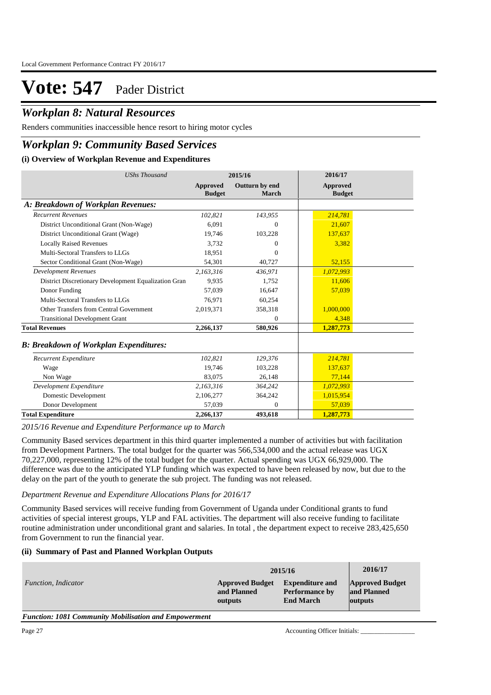## *Workplan 8: Natural Resources*

Renders communities inaccessible hence resort to hiring motor cycles

## *Workplan 9: Community Based Services*

### **(i) Overview of Workplan Revenue and Expenditures**

| <b>UShs Thousand</b>                                 |                           | 2015/16                 | 2016/17                          |  |
|------------------------------------------------------|---------------------------|-------------------------|----------------------------------|--|
|                                                      | Approved<br><b>Budget</b> | Outturn by end<br>March | <b>Approved</b><br><b>Budget</b> |  |
| A: Breakdown of Workplan Revenues:                   |                           |                         |                                  |  |
| <b>Recurrent Revenues</b>                            | 102,821                   | 143,955                 | 214,781                          |  |
| District Unconditional Grant (Non-Wage)              | 6.091                     | $\Omega$                | 21,607                           |  |
| District Unconditional Grant (Wage)                  | 19,746                    | 103,228                 | 137,637                          |  |
| <b>Locally Raised Revenues</b>                       | 3.732                     | $\Omega$                | 3,382                            |  |
| Multi-Sectoral Transfers to LLGs                     | 18,951                    | $\Omega$                |                                  |  |
| Sector Conditional Grant (Non-Wage)                  | 54,301                    | 40,727                  | 52,155                           |  |
| <b>Development Revenues</b>                          | 2,163,316                 | 436.971                 | 1,072,993                        |  |
| District Discretionary Development Equalization Gran | 9.935                     | 1,752                   | 11,606                           |  |
| Donor Funding                                        | 57.039                    | 16,647                  | 57,039                           |  |
| Multi-Sectoral Transfers to LLGs                     | 76,971                    | 60,254                  |                                  |  |
| Other Transfers from Central Government              | 2,019,371                 | 358,318                 | 1,000,000                        |  |
| <b>Transitional Development Grant</b>                |                           | $\Omega$                | 4,348                            |  |
| <b>Total Revenues</b>                                | 2,266,137                 | 580,926                 | 1,287,773                        |  |
| <b>B: Breakdown of Workplan Expenditures:</b>        |                           |                         |                                  |  |
| Recurrent Expenditure                                | 102,821                   | 129,376                 | 214,781                          |  |
| Wage                                                 | 19,746                    | 103,228                 | 137,637                          |  |
| Non Wage                                             | 83,075                    | 26,148                  | 77,144                           |  |
| Development Expenditure                              | 2,163,316                 | 364,242                 | 1,072,993                        |  |
| Domestic Development                                 | 2,106,277                 | 364,242                 | 1,015,954                        |  |
| Donor Development                                    | 57,039                    | $\Omega$                | 57,039                           |  |
| <b>Total Expenditure</b>                             | 2,266,137                 | 493,618                 | 1,287,773                        |  |

*2015/16 Revenue and Expenditure Performance up to March*

Community Based services department in this third quarter implemented a number of activities but with facilitation from Development Partners. The total budget for the quarter was 566,534,000 and the actual release was UGX 70,227,000, representing 12% of the total budget for the quarter. Actual spending was UGX 66,929,000. The difference was due to the anticipated YLP funding which was expected to have been released by now, but due to the delay on the part of the youth to generate the sub project. The funding was not released.

#### *Department Revenue and Expenditure Allocations Plans for 2016/17*

Community Based services will receive funding from Government of Uganda under Conditional grants to fund activities of special interest groups, YLP and FAL activities. The department will also receive funding to facilitate routine administration under unconditional grant and salaries. In total, the department expect to receive 283,425,650 from Government to run the financial year.

### **(ii) Summary of Past and Planned Workplan Outputs**

|                     | 2015/16                |                        | 2016/17                |
|---------------------|------------------------|------------------------|------------------------|
| Function, Indicator | <b>Approved Budget</b> | <b>Expenditure and</b> | <b>Approved Budget</b> |
|                     | and Planned            | <b>Performance by</b>  | and Planned            |
|                     | outputs                | <b>End March</b>       | outputs                |

*Function: 1081 Community Mobilisation and Empowerment*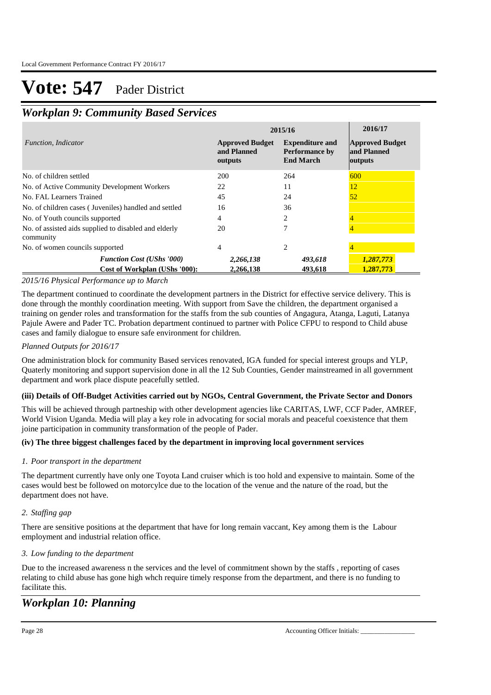## *Workplan 9: Community Based Services*

|                                                                    | 2015/16                                          | 2016/17                                                             |                                                  |
|--------------------------------------------------------------------|--------------------------------------------------|---------------------------------------------------------------------|--------------------------------------------------|
| Function, Indicator                                                | <b>Approved Budget</b><br>and Planned<br>outputs | <b>Expenditure and</b><br><b>Performance by</b><br><b>End March</b> | <b>Approved Budget</b><br>and Planned<br>outputs |
| No. of children settled                                            | 200                                              | 264                                                                 | 600                                              |
| No. of Active Community Development Workers                        | 22                                               | 11                                                                  | 12                                               |
| No. FAL Learners Trained                                           | 45                                               | 24                                                                  | 52                                               |
| No. of children cases (Juveniles) handled and settled              | 16                                               | 36                                                                  |                                                  |
| No. of Youth councils supported                                    | 4                                                | 2                                                                   |                                                  |
| No. of assisted aids supplied to disabled and elderly<br>community | 20                                               | 7                                                                   |                                                  |
| No. of women councils supported                                    | 4                                                | 2                                                                   |                                                  |
| <b>Function Cost (UShs '000)</b>                                   | 2,266,138                                        | 493,618                                                             | 1,287,773                                        |
| Cost of Workplan (UShs '000):                                      | 2.266.138                                        | 493.618                                                             | 1.287.773                                        |

### *2015/16 Physical Performance up to March*

The department continued to coordinate the development partners in the District for effective service delivery. This is done through the monthly coordination meeting. With support from Save the children, the department organised a training on gender roles and transformation for the staffs from the sub counties of Angagura, Atanga, Laguti, Latanya Pajule Awere and Pader TC. Probation department continued to partner with Police CFPU to respond to Child abuse cases and family dialogue to ensure safe environment for children.

### *Planned Outputs for 2016/17*

One administration block for community Based services renovated, IGA funded for special interest groups and YLP, Quaterly monitoring and support supervision done in all the 12 Sub Counties, Gender mainstreamed in all government department and work place dispute peacefully settled.

### **(iii) Details of Off-Budget Activities carried out by NGOs, Central Government, the Private Sector and Donors**

This will be achieved through partneship with other development agencies like CARITAS, LWF, CCF Pader, AMREF, World Vision Uganda. Media will play a key role in advocating for social morals and peaceful coexistence that them joine participation in community transformation of the people of Pader.

### **(iv) The three biggest challenges faced by the department in improving local government services**

### *Poor transport in the department 1.*

The department currently have only one Toyota Land cruiser which is too hold and expensive to maintain. Some of the cases would best be followed on motorcylce due to the location of the venue and the nature of the road, but the department does not have.

### *Staffing gap 2.*

There are sensitive positions at the department that have for long remain vaccant, Key among them is the Labour employment and industrial relation office.

### *Low funding to the department 3.*

Due to the increased awareness n the services and the level of commitment shown by the staffs , reporting of cases relating to child abuse has gone high whch require timely response from the department, and there is no funding to facilitate this.

## *Workplan 10: Planning*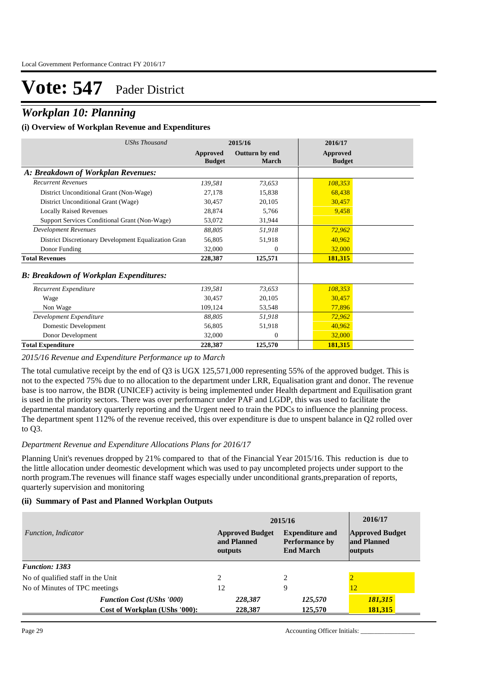## *Workplan 10: Planning*

### **(i) Overview of Workplan Revenue and Expenditures**

| UShs Thousand                                        | 2015/16                   |                         | 2016/17                   |  |
|------------------------------------------------------|---------------------------|-------------------------|---------------------------|--|
|                                                      | Approved<br><b>Budget</b> | Outturn by end<br>March | Approved<br><b>Budget</b> |  |
| A: Breakdown of Workplan Revenues:                   |                           |                         |                           |  |
| <b>Recurrent Revenues</b>                            | 139,581                   | 73,653                  | 108,353                   |  |
| District Unconditional Grant (Non-Wage)              | 27,178                    | 15,838                  | 68,438                    |  |
| District Unconditional Grant (Wage)                  | 30,457                    | 20,105                  | 30,457                    |  |
| <b>Locally Raised Revenues</b>                       | 28,874                    | 5,766                   | 9.458                     |  |
| Support Services Conditional Grant (Non-Wage)        | 53,072                    | 31,944                  |                           |  |
| <b>Development Revenues</b>                          | 88,805                    | 51,918                  | 72,962                    |  |
| District Discretionary Development Equalization Gran | 56,805                    | 51,918                  | 40,962                    |  |
| Donor Funding                                        | 32,000                    | $\mathbf{0}$            | 32,000                    |  |
| <b>Total Revenues</b>                                | 228,387                   | 125,571                 | 181,315                   |  |
| <b>B</b> : Breakdown of Workplan Expenditures:       |                           |                         |                           |  |
| Recurrent Expenditure                                | 139,581                   | 73,653                  | 108,353                   |  |
| Wage                                                 | 30,457                    | 20,105                  | 30,457                    |  |
| Non Wage                                             | 109,124                   | 53,548                  | 77,896                    |  |
| Development Expenditure                              | 88.805                    | 51,918                  | 72,962                    |  |
| Domestic Development                                 | 56,805                    | 51,918                  | 40,962                    |  |
| Donor Development                                    | 32,000                    | $\Omega$                | 32,000                    |  |
| <b>Total Expenditure</b>                             | 228,387                   | 125,570                 | 181,315                   |  |

### *2015/16 Revenue and Expenditure Performance up to March*

The total cumulative receipt by the end of Q3 is UGX 125,571,000 representing 55% of the approved budget. This is not to the expected 75% due to no allocation to the department under LRR, Equalisation grant and donor. The revenue base is too narrow, the BDR (UNICEF) activity is being implemented under Health department and Equilisation grant is used in the priority sectors. There was over performancr under PAF and LGDP, this was used to facilitate the departmental mandatory quarterly reporting and the Urgent need to train the PDCs to influence the planning process. The department spent 112% of the revenue received, this over expenditure is due to unspent balance in Q2 rolled over to Q3.

#### *Department Revenue and Expenditure Allocations Plans for 2016/17*

Planning Unit's revenues dropped by 21% compared to that of the Financial Year 2015/16. This reduction is due to the little allocation under deomestic development which was used to pay uncompleted projects under support to the north program.The revenues will finance staff wages especially under unconditional grants,preparation of reports, quarterly supervision and monitoring

#### **(ii) Summary of Past and Planned Workplan Outputs**

|                                   |                                  | 2015/16                                          | 2016/17                                                             |         |
|-----------------------------------|----------------------------------|--------------------------------------------------|---------------------------------------------------------------------|---------|
| Function, Indicator               |                                  | <b>Approved Budget</b><br>and Planned<br>outputs | <b>Expenditure and</b><br><b>Performance by</b><br><b>End March</b> |         |
| <b>Function: 1383</b>             |                                  |                                                  |                                                                     |         |
| No of qualified staff in the Unit |                                  | $\mathcal{D}_{\mathcal{L}}$                      | 2                                                                   |         |
| No of Minutes of TPC meetings     |                                  | 12                                               | 9                                                                   | 12      |
|                                   | <b>Function Cost (UShs '000)</b> | 228,387                                          | 125,570                                                             | 181,315 |
|                                   | Cost of Workplan (UShs '000):    | 228,387                                          | 125.570                                                             | 181,315 |

Page 29 Accounting Officer Initials: \_\_\_\_\_\_\_\_\_\_\_\_\_\_\_\_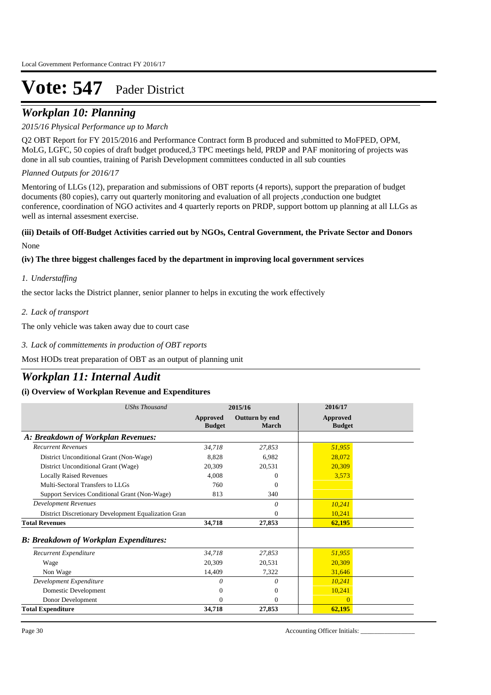## *Workplan 10: Planning*

### *2015/16 Physical Performance up to March*

Q2 OBT Report for FY 2015/2016 and Performance Contract form B produced and submitted to MoFPED, OPM, MoLG, LGFC, 50 copies of draft budget produced,3 TPC meetings held, PRDP and PAF monitoring of projects was done in all sub counties, training of Parish Development committees conducted in all sub counties

*Planned Outputs for 2016/17* 

Mentoring of LLGs (12), preparation and submissions of OBT reports (4 reports), support the preparation of budget documents (80 copies), carry out quarterly monitoring and evaluation of all projects ,conduction one budgtet conference, coordination of NGO activites and 4 quarterly reports on PRDP, support bottom up planning at all LLGs as well as internal assesment exercise.

### **(iii) Details of Off-Budget Activities carried out by NGOs, Central Government, the Private Sector and Donors**  None

### **(iv) The three biggest challenges faced by the department in improving local government services**

### *Understaffing 1.*

the sector lacks the District planner, senior planner to helps in excuting the work effectively

### *Lack of transport 2.*

The only vehicle was taken away due to court case

*Lack of committements in production of OBT reports 3.*

Most HODs treat preparation of OBT as an output of planning unit

## *Workplan 11: Internal Audit*

### **(i) Overview of Workplan Revenue and Expenditures**

| <b>UShs Thousand</b>                                 | 2015/16                   |                         | 2016/17                   |
|------------------------------------------------------|---------------------------|-------------------------|---------------------------|
|                                                      | Approved<br><b>Budget</b> | Outturn by end<br>March | Approved<br><b>Budget</b> |
| A: Breakdown of Workplan Revenues:                   |                           |                         |                           |
| <b>Recurrent Revenues</b>                            | 34,718                    | 27,853                  | 51,955                    |
| District Unconditional Grant (Non-Wage)              | 8.828                     | 6.982                   | 28,072                    |
| District Unconditional Grant (Wage)                  | 20,309                    | 20,531                  | 20,309                    |
| <b>Locally Raised Revenues</b>                       | 4.008                     | $\theta$                | 3,573                     |
| Multi-Sectoral Transfers to LLGs                     | 760                       | $\Omega$                |                           |
| Support Services Conditional Grant (Non-Wage)        | 813                       | 340                     |                           |
| <b>Development Revenues</b>                          |                           | 0                       | 10,241                    |
| District Discretionary Development Equalization Gran |                           | $\mathbf{0}$            | 10,241                    |
| <b>Total Revenues</b>                                | 34,718                    | 27,853                  | 62,195                    |
| <b>B: Breakdown of Workplan Expenditures:</b>        |                           |                         |                           |
| Recurrent Expenditure                                | 34,718                    | 27,853                  | 51,955                    |
| Wage                                                 | 20,309                    | 20,531                  | 20,309                    |
| Non Wage                                             | 14,409                    | 7,322                   | 31,646                    |
| Development Expenditure                              | $\theta$                  | 0                       | 10,241                    |
| Domestic Development                                 | $\Omega$                  | $\mathbf{0}$            | 10,241                    |
| Donor Development                                    | $\Omega$                  | $\mathbf{0}$            | $\Omega$                  |
| <b>Total Expenditure</b>                             | 34,718                    | 27,853                  | 62,195                    |